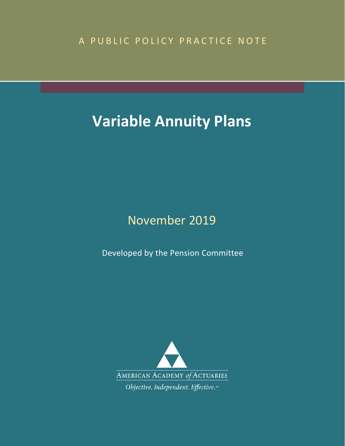# A PUBLIC POLICY PRACTICE NOTE

# **Variable Annuity Plans**

# November 2019

Developed by the Pension Committee

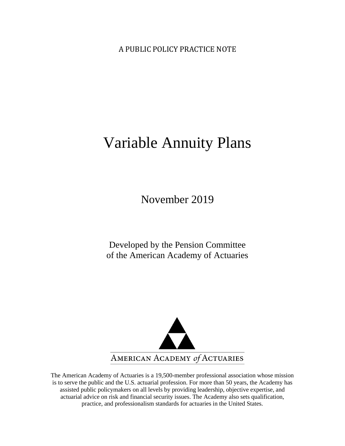A PUBLIC POLICY PRACTICE NOTE

# Variable Annuity Plans

November 2019

Developed by the Pension Committee of the American Academy of Actuaries



The American Academy of Actuaries is a 19,500-member professional association whose mission is to serve the public and the U.S. actuarial profession. For more than 50 years, the Academy has assisted public policymakers on all levels by providing leadership, objective expertise, and actuarial advice on risk and financial security issues. The Academy also sets qualification, practice, and professionalism standards for actuaries in the United States.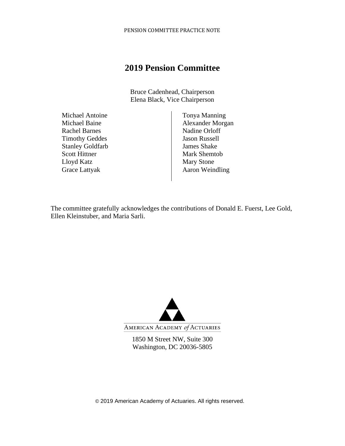## **2019 Pension Committee**

Bruce Cadenhead, Chairperson Elena Black, Vice Chairperson

Michael Antoine Michael Baine Rachel Barnes Timothy Geddes Stanley Goldfarb Scott Hittner Lloyd Katz Grace Lattyak

Tonya Manning Alexander Morgan Nadine Orloff Jason Russell James Shake Mark Shemtob Mary Stone Aaron Weindling

The committee gratefully acknowledges the contributions of Donald E. Fuerst, Lee Gold, Ellen Kleinstuber, and Maria Sarli.



1850 M Street NW, Suite 300 Washington, DC 20036-5805

© 2019 American Academy of Actuaries. All rights reserved.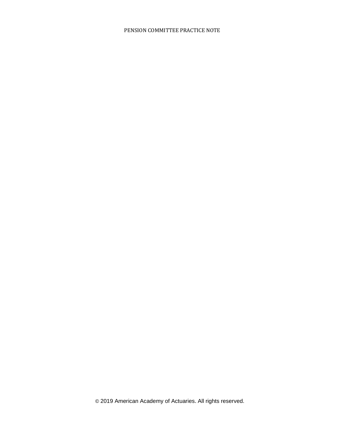© 2019 American Academy of Actuaries. All rights reserved.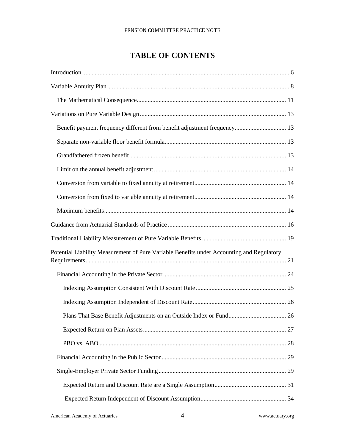### **TABLE OF CONTENTS**

| Benefit payment frequency different from benefit adjustment frequency 13                  |
|-------------------------------------------------------------------------------------------|
|                                                                                           |
|                                                                                           |
|                                                                                           |
|                                                                                           |
|                                                                                           |
|                                                                                           |
|                                                                                           |
|                                                                                           |
| Potential Liability Measurement of Pure Variable Benefits under Accounting and Regulatory |
|                                                                                           |
|                                                                                           |
|                                                                                           |
|                                                                                           |
|                                                                                           |
|                                                                                           |
|                                                                                           |
|                                                                                           |
|                                                                                           |
|                                                                                           |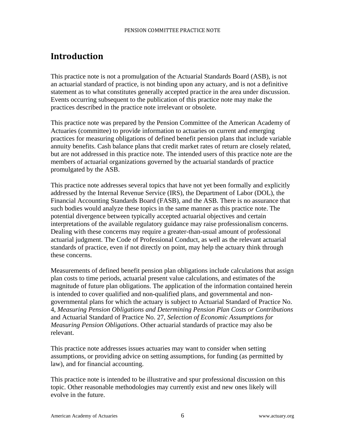# <span id="page-6-0"></span>**Introduction**

This practice note is not a promulgation of the Actuarial Standards Board (ASB), is not an actuarial standard of practice, is not binding upon any actuary, and is not a definitive statement as to what constitutes generally accepted practice in the area under discussion. Events occurring subsequent to the publication of this practice note may make the practices described in the practice note irrelevant or obsolete.

This practice note was prepared by the Pension Committee of the American Academy of Actuaries (committee) to provide information to actuaries on current and emerging practices for measuring obligations of defined benefit pension plans that include variable annuity benefits. Cash balance plans that credit market rates of return are closely related, but are not addressed in this practice note. The intended users of this practice note are the members of actuarial organizations governed by the actuarial standards of practice promulgated by the ASB.

This practice note addresses several topics that have not yet been formally and explicitly addressed by the Internal Revenue Service (IRS), the Department of Labor (DOL), the Financial Accounting Standards Board (FASB), and the ASB. There is no assurance that such bodies would analyze these topics in the same manner as this practice note. The potential divergence between typically accepted actuarial objectives and certain interpretations of the available regulatory guidance may raise professionalism concerns. Dealing with these concerns may require a greater-than-usual amount of professional actuarial judgment. The Code of Professional Conduct, as well as the relevant actuarial standards of practice, even if not directly on point, may help the actuary think through these concerns.

Measurements of defined benefit pension plan obligations include calculations that assign plan costs to time periods, actuarial present value calculations, and estimates of the magnitude of future plan obligations. The application of the information contained herein is intended to cover qualified and non-qualified plans, and governmental and nongovernmental plans for which the actuary is subject to Actuarial Standard of Practice No. 4, *Measuring Pension Obligations and Determining Pension Plan Costs or Contributions* and Actuarial Standard of Practice No. 27, *Selection of Economic Assumptions for Measuring Pension Obligations*. Other actuarial standards of practice may also be relevant.

This practice note addresses issues actuaries may want to consider when setting assumptions, or providing advice on setting assumptions, for funding (as permitted by law), and for financial accounting.

This practice note is intended to be illustrative and spur professional discussion on this topic. Other reasonable methodologies may currently exist and new ones likely will evolve in the future.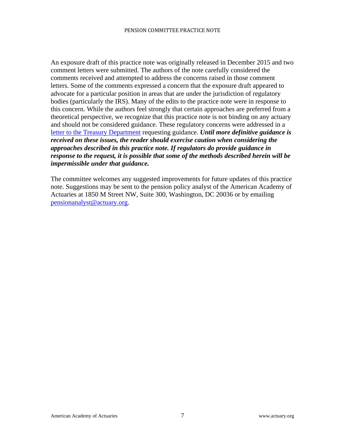An exposure draft of this practice note was originally released in December 2015 and two comment letters were submitted. The authors of the note carefully considered the comments received and attempted to address the concerns raised in those comment letters. Some of the comments expressed a concern that the exposure draft appeared to advocate for a particular position in areas that are under the jurisdiction of regulatory bodies (particularly the IRS). Many of the edits to the practice note were in response to this concern. While the authors feel strongly that certain approaches are preferred from a theoretical perspective, we recognize that this practice note is not binding on any actuary and should not be considered guidance. These regulatory concerns were addressed in a [letter to the Treasury Department](http://www.actuary.org/files/publications/VariableAnnuityPlans_TreasuryLetter.pdf) requesting guidance. *Until more definitive guidance is received on these issues, the reader should exercise caution when considering the approaches described in this practice note. If regulators do provide guidance in response to the request, it is possible that some of the methods described herein will be impermissible under that guidance.*

The committee welcomes any suggested improvements for future updates of this practice note. Suggestions may be sent to the pension policy analyst of the American Academy of Actuaries at 1850 M Street NW, Suite 300, Washington, DC 20036 or by emailing [pensionanalyst@actuary.org.](mailto:pensionanalyst@actuary.org)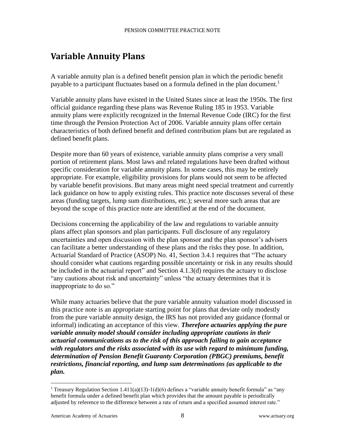# <span id="page-8-0"></span>**Variable Annuity Plans**

A variable annuity plan is a defined benefit pension plan in which the periodic benefit payable to a participant fluctuates based on a formula defined in the plan document.<sup>1</sup>

Variable annuity plans have existed in the United States since at least the 1950s. The first official guidance regarding these plans was Revenue Ruling 185 in 1953. Variable annuity plans were explicitly recognized in the Internal Revenue Code (IRC) for the first time through the Pension Protection Act of 2006. Variable annuity plans offer certain characteristics of both defined benefit and defined contribution plans but are regulated as defined benefit plans.

Despite more than 60 years of existence, variable annuity plans comprise a very small portion of retirement plans. Most laws and related regulations have been drafted without specific consideration for variable annuity plans. In some cases, this may be entirely appropriate. For example, eligibility provisions for plans would not seem to be affected by variable benefit provisions. But many areas might need special treatment and currently lack guidance on how to apply existing rules. This practice note discusses several of these areas (funding targets, lump sum distributions, etc.); several more such areas that are beyond the scope of this practice note are identified at the end of the document.

Decisions concerning the applicability of the law and regulations to variable annuity plans affect plan sponsors and plan participants. Full disclosure of any regulatory uncertainties and open discussion with the plan sponsor and the plan sponsor's advisers can facilitate a better understanding of these plans and the risks they pose. In addition, Actuarial Standard of Practice (ASOP) No. 41, Section 3.4.1 requires that "The actuary should consider what cautions regarding possible uncertainty or risk in any results should be included in the actuarial report" and Section 4.1.3(d) requires the actuary to disclose "any cautions about risk and uncertainty" unless "the actuary determines that it is inappropriate to do so."

While many actuaries believe that the pure variable annuity valuation model discussed in this practice note is an appropriate starting point for plans that deviate only modestly from the pure variable annuity design, the IRS has not provided any guidance (formal or informal) indicating an acceptance of this view. *Therefore actuaries applying the pure variable annuity model should consider including appropriate cautions in their actuarial communications as to the risk of this approach failing to gain acceptance with regulators and the risks associated with its use with regard to minimum funding, determination of Pension Benefit Guaranty Corporation (PBGC) premiums, benefit restrictions, financial reporting, and lump sum determinations (as applicable to the plan.*

<sup>&</sup>lt;sup>1</sup> Treasury Regulation Section 1.411(a)(13)-1(d)(6) defines a "variable annuity benefit formula" as "any benefit formula under a defined benefit plan which provides that the amount payable is periodically adjusted by reference to the difference between a rate of return and a specified assumed interest rate."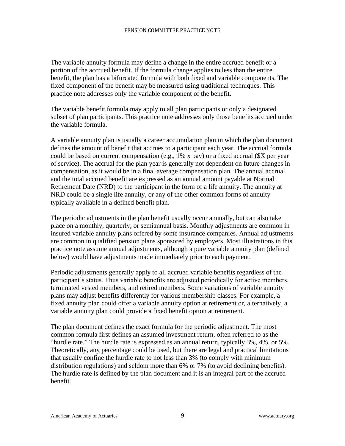The variable annuity formula may define a change in the entire accrued benefit or a portion of the accrued benefit. If the formula change applies to less than the entire benefit, the plan has a bifurcated formula with both fixed and variable components. The fixed component of the benefit may be measured using traditional techniques. This practice note addresses only the variable component of the benefit.

The variable benefit formula may apply to all plan participants or only a designated subset of plan participants. This practice note addresses only those benefits accrued under the variable formula.

A variable annuity plan is usually a career accumulation plan in which the plan document defines the amount of benefit that accrues to a participant each year. The accrual formula could be based on current compensation (e.g., 1% x pay) or a fixed accrual (\$X per year of service). The accrual for the plan year is generally not dependent on future changes in compensation, as it would be in a final average compensation plan. The annual accrual and the total accrued benefit are expressed as an annual amount payable at Normal Retirement Date (NRD) to the participant in the form of a life annuity. The annuity at NRD could be a single life annuity, or any of the other common forms of annuity typically available in a defined benefit plan.

The periodic adjustments in the plan benefit usually occur annually, but can also take place on a monthly, quarterly, or semiannual basis. Monthly adjustments are common in insured variable annuity plans offered by some insurance companies. Annual adjustments are common in qualified pension plans sponsored by employers. Most illustrations in this practice note assume annual adjustments, although a pure variable annuity plan (defined below) would have adjustments made immediately prior to each payment.

Periodic adjustments generally apply to all accrued variable benefits regardless of the participant's status. Thus variable benefits are adjusted periodically for active members, terminated vested members, and retired members. Some variations of variable annuity plans may adjust benefits differently for various membership classes. For example, a fixed annuity plan could offer a variable annuity option at retirement or, alternatively, a variable annuity plan could provide a fixed benefit option at retirement.

The plan document defines the exact formula for the periodic adjustment. The most common formula first defines an assumed investment return, often referred to as the "hurdle rate." The hurdle rate is expressed as an annual return, typically 3%, 4%, or 5%. Theoretically, any percentage could be used, but there are legal and practical limitations that usually confine the hurdle rate to not less than 3% (to comply with minimum distribution regulations) and seldom more than 6% or 7% (to avoid declining benefits). The hurdle rate is defined by the plan document and it is an integral part of the accrued benefit.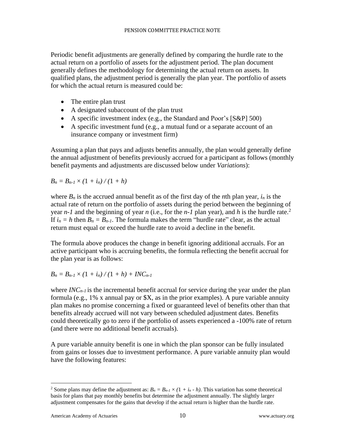Periodic benefit adjustments are generally defined by comparing the hurdle rate to the actual return on a portfolio of assets for the adjustment period. The plan document generally defines the methodology for determining the actual return on assets. In qualified plans, the adjustment period is generally the plan year. The portfolio of assets for which the actual return is measured could be:

- The entire plan trust
- A designated subaccount of the plan trust
- A specific investment index (e.g., the Standard and Poor's [S&P] 500)
- A specific investment fund (e.g., a mutual fund or a separate account of an insurance company or investment firm)

Assuming a plan that pays and adjusts benefits annually, the plan would generally define the annual adjustment of benefits previously accrued for a participant as follows (monthly benefit payments and adjustments are discussed below under *Variations*):

$$
B_n=B_{n-1}\times(1+i_n)/(1+h)
$$

where  $B_n$  is the accrued annual benefit as of the first day of the *n*th plan year,  $i_n$  is the actual rate of return on the portfolio of assets during the period between the beginning of year *n-1* and the beginning of year *n* (i.e., for the *n-1* plan year), and *h* is the hurdle rate. 2 If  $i_n = h$  then  $B_n = B_{n-1}$ . The formula makes the term "hurdle rate" clear, as the actual return must equal or exceed the hurdle rate to avoid a decline in the benefit.

The formula above produces the change in benefit ignoring additional accruals. For an active participant who is accruing benefits, the formula reflecting the benefit accrual for the plan year is as follows:

$$
B_n = B_{n-1} \times (1 + i_n) / (1 + h) + INC_{n-1}
$$

where *INC<sub>n-1</sub>* is the incremental benefit accrual for service during the year under the plan formula (e.g., 1% x annual pay or \$X, as in the prior examples). A pure variable annuity plan makes no promise concerning a fixed or guaranteed level of benefits other than that benefits already accrued will not vary between scheduled adjustment dates. Benefits could theoretically go to zero if the portfolio of assets experienced a -100% rate of return (and there were no additional benefit accruals).

A pure variable annuity benefit is one in which the plan sponsor can be fully insulated from gains or losses due to investment performance. A pure variable annuity plan would have the following features:

<sup>&</sup>lt;sup>2</sup> Some plans may define the adjustment as:  $B_n = B_{n-1} \times (1 + i_n - h)$ . This variation has some theoretical basis for plans that pay monthly benefits but determine the adjustment annually. The slightly larger adjustment compensates for the gains that develop if the actual return is higher than the hurdle rate.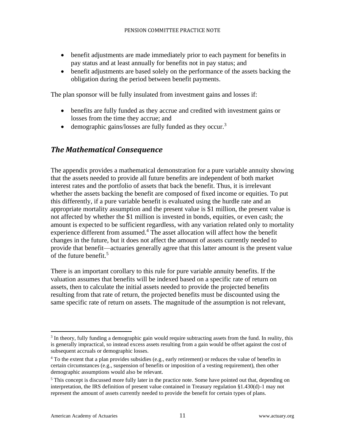- benefit adjustments are made immediately prior to each payment for benefits in pay status and at least annually for benefits not in pay status; and
- benefit adjustments are based solely on the performance of the assets backing the obligation during the period between benefit payments.

The plan sponsor will be fully insulated from investment gains and losses if:

- benefits are fully funded as they accrue and credited with investment gains or losses from the time they accrue; and
- demographic gains/losses are fully funded as they occur.<sup>3</sup>

#### <span id="page-11-0"></span>*The Mathematical Consequence*

The appendix provides a mathematical demonstration for a pure variable annuity showing that the assets needed to provide all future benefits are independent of both market interest rates and the portfolio of assets that back the benefit. Thus, it is irrelevant whether the assets backing the benefit are composed of fixed income or equities. To put this differently, if a pure variable benefit is evaluated using the hurdle rate and an appropriate mortality assumption and the present value is \$1 million, the present value is not affected by whether the \$1 million is invested in bonds, equities, or even cash; the amount is expected to be sufficient regardless, with any variation related only to mortality experience different from assumed. <sup>4</sup> The asset allocation will affect how the benefit changes in the future, but it does not affect the amount of assets currently needed to provide that benefit—actuaries generally agree that this latter amount is the present value of the future benefit. 5

There is an important corollary to this rule for pure variable annuity benefits. If the valuation assumes that benefits will be indexed based on a specific rate of return on assets, then to calculate the initial assets needed to provide the projected benefits resulting from that rate of return, the projected benefits must be discounted using the same specific rate of return on assets. The magnitude of the assumption is not relevant,

<sup>&</sup>lt;sup>3</sup> In theory, fully funding a demographic gain would require subtracting assets from the fund. In reality, this is generally impractical, so instead excess assets resulting from a gain would be offset against the cost of subsequent accruals or demographic losses.

<sup>&</sup>lt;sup>4</sup> To the extent that a plan provides subsidies (e.g., early retirement) or reduces the value of benefits in certain circumstances (e.g., suspension of benefits or imposition of a vesting requirement), then other demographic assumptions would also be relevant.

<sup>&</sup>lt;sup>5</sup> This concept is discussed more fully later in the practice note. Some have pointed out that, depending on interpretation, the IRS definition of present value contained in Treasury regulation §1.430(d)-1 may not represent the amount of assets currently needed to provide the benefit for certain types of plans.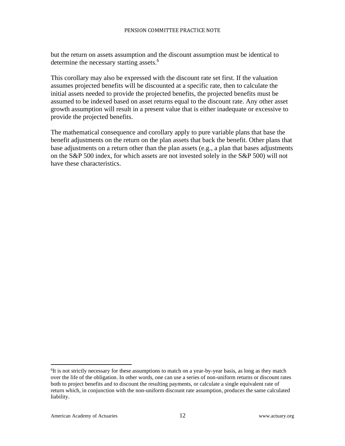but the return on assets assumption and the discount assumption must be identical to determine the necessary starting assets.<sup>6</sup>

This corollary may also be expressed with the discount rate set first. If the valuation assumes projected benefits will be discounted at a specific rate, then to calculate the initial assets needed to provide the projected benefits, the projected benefits must be assumed to be indexed based on asset returns equal to the discount rate. Any other asset growth assumption will result in a present value that is either inadequate or excessive to provide the projected benefits.

The mathematical consequence and corollary apply to pure variable plans that base the benefit adjustments on the return on the plan assets that back the benefit. Other plans that base adjustments on a return other than the plan assets (e.g., a plan that bases adjustments on the S&P 500 index, for which assets are not invested solely in the S&P 500) will not have these characteristics.

<sup>&</sup>lt;sup>6</sup>It is not strictly necessary for these assumptions to match on a year-by-year basis, as long as they match over the life of the obligation. In other words, one can use a series of non-uniform returns or discount rates both to project benefits and to discount the resulting payments, or calculate a single equivalent rate of return which, in conjunction with the non-uniform discount rate assumption, produces the same calculated liability.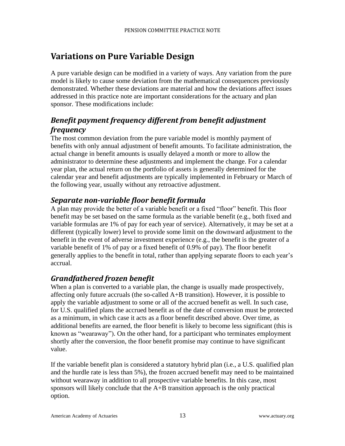# <span id="page-13-0"></span>**Variations on Pure Variable Design**

A pure variable design can be modified in a variety of ways. Any variation from the pure model is likely to cause some deviation from the mathematical consequences previously demonstrated. Whether these deviations are material and how the deviations affect issues addressed in this practice note are important considerations for the actuary and plan sponsor. These modifications include:

### <span id="page-13-1"></span>*Benefit payment frequency different from benefit adjustment frequency*

The most common deviation from the pure variable model is monthly payment of benefits with only annual adjustment of benefit amounts. To facilitate administration, the actual change in benefit amounts is usually delayed a month or more to allow the administrator to determine these adjustments and implement the change. For a calendar year plan, the actual return on the portfolio of assets is generally determined for the calendar year and benefit adjustments are typically implemented in February or March of the following year, usually without any retroactive adjustment.

### <span id="page-13-2"></span>*Separate non-variable floor benefit formula*

A plan may provide the better of a variable benefit or a fixed "floor" benefit. This floor benefit may be set based on the same formula as the variable benefit (e.g., both fixed and variable formulas are 1% of pay for each year of service). Alternatively, it may be set at a different (typically lower) level to provide some limit on the downward adjustment to the benefit in the event of adverse investment experience (e.g., the benefit is the greater of a variable benefit of 1% of pay or a fixed benefit of 0.9% of pay). The floor benefit generally applies to the benefit in total, rather than applying separate floors to each year's accrual.

### <span id="page-13-3"></span>*Grandfathered frozen benefit*

When a plan is converted to a variable plan, the change is usually made prospectively, affecting only future accruals (the so-called A+B transition). However, it is possible to apply the variable adjustment to some or all of the accrued benefit as well. In such case, for U.S. qualified plans the accrued benefit as of the date of conversion must be protected as a minimum, in which case it acts as a floor benefit described above. Over time, as additional benefits are earned, the floor benefit is likely to become less significant (this is known as "wearaway"). On the other hand, for a participant who terminates employment shortly after the conversion, the floor benefit promise may continue to have significant value.

If the variable benefit plan is considered a statutory hybrid plan (i.e., a U.S. qualified plan and the hurdle rate is less than 5%), the frozen accrued benefit may need to be maintained without wearaway in addition to all prospective variable benefits. In this case, most sponsors will likely conclude that the A+B transition approach is the only practical option.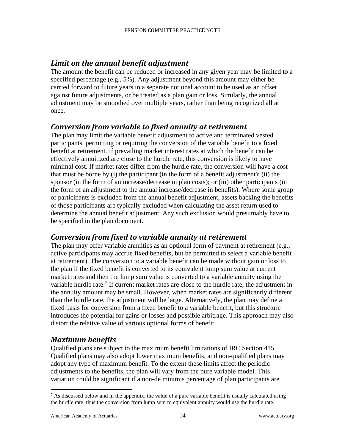### <span id="page-14-0"></span>*Limit on the annual benefit adjustment*

The amount the benefit can be reduced or increased in any given year may be limited to a specified percentage (e.g., 5%). Any adjustment beyond this amount may either be carried forward to future years in a separate notional account to be used as an offset against future adjustments, or be treated as a plan gain or loss. Similarly, the annual adjustment may be smoothed over multiple years, rather than being recognized all at once.

### <span id="page-14-1"></span>*Conversion from variable to fixed annuity at retirement*

The plan may limit the variable benefit adjustment to active and terminated vested participants, permitting or requiring the conversion of the variable benefit to a fixed benefit at retirement. If prevailing market interest rates at which the benefit can be effectively annuitized are close to the hurdle rate, this conversion is likely to have minimal cost. If market rates differ from the hurdle rate, the conversion will have a cost that must be borne by (i) the participant (in the form of a benefit adjustment); (ii) the sponsor (in the form of an increase/decrease in plan costs); or (iii) other participants (in the form of an adjustment to the annual increase/decrease in benefits). Where some group of participants is excluded from the annual benefit adjustment, assets backing the benefits of those participants are typically excluded when calculating the asset return used to determine the annual benefit adjustment. Any such exclusion would presumably have to be specified in the plan document.

### <span id="page-14-2"></span>*Conversion from fixed to variable annuity at retirement*

The plan may offer variable annuities as an optional form of payment at retirement (e.g., active participants may accrue fixed benefits, but be permitted to select a variable benefit at retirement). The conversion to a variable benefit can be made without gain or loss to the plan if the fixed benefit is converted to its equivalent lump sum value at current market rates and then the lump sum value is converted to a variable annuity using the variable hurdle rate.<sup>7</sup> If current market rates are close to the hurdle rate, the adjustment in the annuity amount may be small. However, when market rates are significantly different than the hurdle rate, the adjustment will be large. Alternatively, the plan may define a fixed basis for conversion from a fixed benefit to a variable benefit, but this structure introduces the potential for gains or losses and possible arbitrage. This approach may also distort the relative value of various optional forms of benefit.

### <span id="page-14-3"></span>*Maximum benefits*

Qualified plans are subject to the maximum benefit limitations of IRC Section 415. Qualified plans may also adopt lower maximum benefits, and non-qualified plans may adopt any type of maximum benefit. To the extent these limits affect the periodic adjustments to the benefits, the plan will vary from the pure variable model. This variation could be significant if a non-de minimis percentage of plan participants are

 $<sup>7</sup>$  As discussed below and in the appendix, the value of a pure variable benefit is usually calculated using</sup> the hurdle rate, thus the conversion from lump sum to equivalent annuity would use the hurdle rate.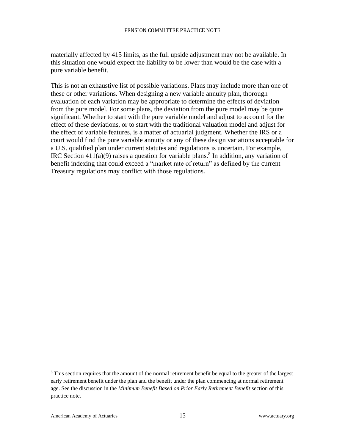materially affected by 415 limits, as the full upside adjustment may not be available. In this situation one would expect the liability to be lower than would be the case with a pure variable benefit.

This is not an exhaustive list of possible variations. Plans may include more than one of these or other variations. When designing a new variable annuity plan, thorough evaluation of each variation may be appropriate to determine the effects of deviation from the pure model. For some plans, the deviation from the pure model may be quite significant. Whether to start with the pure variable model and adjust to account for the effect of these deviations, or to start with the traditional valuation model and adjust for the effect of variable features, is a matter of actuarial judgment. Whether the IRS or a court would find the pure variable annuity or any of these design variations acceptable for a U.S. qualified plan under current statutes and regulations is uncertain. For example, IRC Section  $411(a)(9)$  raises a question for variable plans.<sup>8</sup> In addition, any variation of benefit indexing that could exceed a "market rate of return" as defined by the current Treasury regulations may conflict with those regulations.

<sup>&</sup>lt;sup>8</sup> This section requires that the amount of the normal retirement benefit be equal to the greater of the largest early retirement benefit under the plan and the benefit under the plan commencing at normal retirement age. See the discussion in the *Minimum Benefit Based on Prior Early Retirement Benefit* section of this practice note.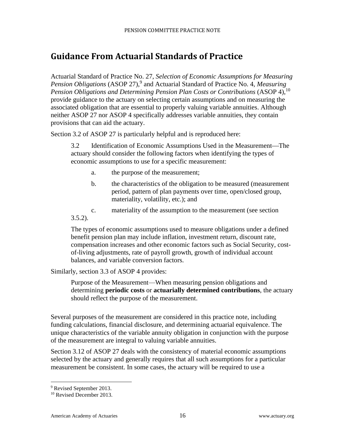# <span id="page-16-0"></span>**Guidance From Actuarial Standards of Practice**

Actuarial Standard of Practice No. 27, *Selection of Economic Assumptions for Measuring Pension Obligations* (ASOP 27), 9 and Actuarial Standard of Practice No. 4, *Measuring Pension Obligations and Determining Pension Plan Costs or Contributions* (ASOP 4), 10 provide guidance to the actuary on selecting certain assumptions and on measuring the associated obligation that are essential to properly valuing variable annuities. Although neither ASOP 27 nor ASOP 4 specifically addresses variable annuities, they contain provisions that can aid the actuary.

Section 3.2 of ASOP 27 is particularly helpful and is reproduced here:

3.2 Identification of Economic Assumptions Used in the Measurement—The actuary should consider the following factors when identifying the types of economic assumptions to use for a specific measurement:

- a. the purpose of the measurement;
- b. the characteristics of the obligation to be measured (measurement period, pattern of plan payments over time, open/closed group, materiality, volatility, etc.); and
- c. materiality of the assumption to the measurement (see section  $3.5.2$ ).

The types of economic assumptions used to measure obligations under a defined benefit pension plan may include inflation, investment return, discount rate, compensation increases and other economic factors such as Social Security, costof-living adjustments, rate of payroll growth, growth of individual account balances, and variable conversion factors.

Similarly, section 3.3 of ASOP 4 provides:

Purpose of the Measurement—When measuring pension obligations and determining **periodic costs** or **actuarially determined contributions**, the actuary should reflect the purpose of the measurement.

Several purposes of the measurement are considered in this practice note, including funding calculations, financial disclosure, and determining actuarial equivalence. The unique characteristics of the variable annuity obligation in conjunction with the purpose of the measurement are integral to valuing variable annuities.

Section 3.12 of ASOP 27 deals with the consistency of material economic assumptions selected by the actuary and generally requires that all such assumptions for a particular measurement be consistent. In some cases, the actuary will be required to use a

<sup>9</sup> Revised September 2013.

<sup>&</sup>lt;sup>10</sup> Revised December 2013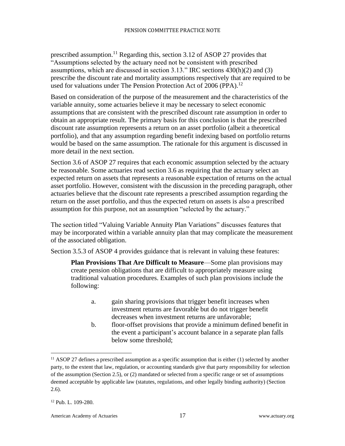prescribed assumption.<sup>11</sup> Regarding this, section 3.12 of ASOP 27 provides that "Assumptions selected by the actuary need not be consistent with prescribed assumptions, which are discussed in section 3.13." IRC sections 430(h)(2) and (3) prescribe the discount rate and mortality assumptions respectively that are required to be used for valuations under The Pension Protection Act of 2006 (PPA).<sup>12</sup>

Based on consideration of the purpose of the measurement and the characteristics of the variable annuity, some actuaries believe it may be necessary to select economic assumptions that are consistent with the prescribed discount rate assumption in order to obtain an appropriate result. The primary basis for this conclusion is that the prescribed discount rate assumption represents a return on an asset portfolio (albeit a theoretical portfolio), and that any assumption regarding benefit indexing based on portfolio returns would be based on the same assumption. The rationale for this argument is discussed in more detail in the next section.

Section 3.6 of ASOP 27 requires that each economic assumption selected by the actuary be reasonable. Some actuaries read section 3.6 as requiring that the actuary select an expected return on assets that represents a reasonable expectation of returns on the actual asset portfolio. However, consistent with the discussion in the preceding paragraph, other actuaries believe that the discount rate represents a prescribed assumption regarding the return on the asset portfolio, and thus the expected return on assets is also a prescribed assumption for this purpose, not an assumption "selected by the actuary."

The section titled "Valuing Variable Annuity Plan Variations" discusses features that may be incorporated within a variable annuity plan that may complicate the measurement of the associated obligation.

Section 3.5.3 of ASOP 4 provides guidance that is relevant in valuing these features:

**Plan Provisions That Are Difficult to Measure**—Some plan provisions may create pension obligations that are difficult to appropriately measure using traditional valuation procedures. Examples of such plan provisions include the following:

- a. gain sharing provisions that trigger benefit increases when investment returns are favorable but do not trigger benefit decreases when investment returns are unfavorable;
- b. floor-offset provisions that provide a minimum defined benefit in the event a participant's account balance in a separate plan falls below some threshold;

 $11$  ASOP 27 defines a prescribed assumption as a specific assumption that is either (1) selected by another party, to the extent that law, regulation, or accounting standards give that party responsibility for selection of the assumption (Section 2.5), or (2) mandated or selected from a specific range or set of assumptions deemed acceptable by applicable law (statutes, regulations, and other legally binding authority) (Section 2.6).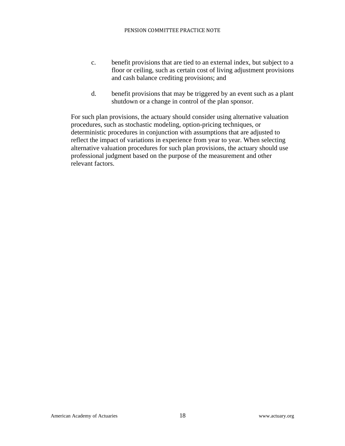- c. benefit provisions that are tied to an external index, but subject to a floor or ceiling, such as certain cost of living adjustment provisions and cash balance crediting provisions; and
- d. benefit provisions that may be triggered by an event such as a plant shutdown or a change in control of the plan sponsor.

For such plan provisions, the actuary should consider using alternative valuation procedures, such as stochastic modeling, option-pricing techniques, or deterministic procedures in conjunction with assumptions that are adjusted to reflect the impact of variations in experience from year to year. When selecting alternative valuation procedures for such plan provisions, the actuary should use professional judgment based on the purpose of the measurement and other relevant factors.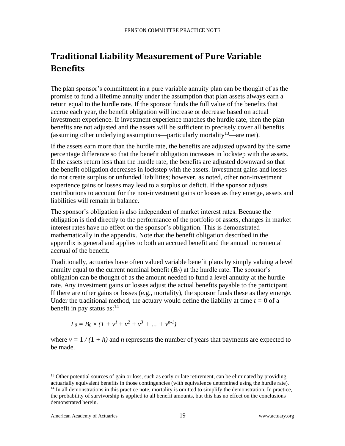# <span id="page-19-0"></span>**Traditional Liability Measurement of Pure Variable Benefits**

The plan sponsor's commitment in a pure variable annuity plan can be thought of as the promise to fund a lifetime annuity under the assumption that plan assets always earn a return equal to the hurdle rate. If the sponsor funds the full value of the benefits that accrue each year, the benefit obligation will increase or decrease based on actual investment experience. If investment experience matches the hurdle rate, then the plan benefits are not adjusted and the assets will be sufficient to precisely cover all benefits (assuming other underlying assumptions—particularly mortality<sup>13</sup>—are met).

If the assets earn more than the hurdle rate, the benefits are adjusted upward by the same percentage difference so that the benefit obligation increases in lockstep with the assets. If the assets return less than the hurdle rate, the benefits are adjusted downward so that the benefit obligation decreases in lockstep with the assets. Investment gains and losses do not create surplus or unfunded liabilities; however, as noted, other non-investment experience gains or losses may lead to a surplus or deficit. If the sponsor adjusts contributions to account for the non-investment gains or losses as they emerge, assets and liabilities will remain in balance.

The sponsor's obligation is also independent of market interest rates. Because the obligation is tied directly to the performance of the portfolio of assets, changes in market interest rates have no effect on the sponsor's obligation. This is demonstrated mathematically in the appendix. Note that the benefit obligation described in the appendix is general and applies to both an accrued benefit and the annual incremental accrual of the benefit.

Traditionally, actuaries have often valued variable benefit plans by simply valuing a level annuity equal to the current nominal benefit  $(B_0)$  at the hurdle rate. The sponsor's obligation can be thought of as the amount needed to fund a level annuity at the hurdle rate. Any investment gains or losses adjust the actual benefits payable to the participant. If there are other gains or losses (e.g., mortality), the sponsor funds these as they emerge. Under the traditional method, the actuary would define the liability at time  $t = 0$  of a benefit in pay status as: $14$ 

$$
L_0 = B_0 \times (1 + v^1 + v^2 + v^3 + \dots + v^{n-1})
$$

where  $v = 1/(1 + h)$  and *n* represents the number of years that payments are expected to be made.

American Academy of Actuaries 19 and 19 www.actuary.org

<sup>&</sup>lt;sup>13</sup> Other potential sources of gain or loss, such as early or late retirement, can be eliminated by providing actuarially equivalent benefits in those contingencies (with equivalence determined using the hurdle rate). <sup>14</sup> In all demonstrations in this practice note, mortality is omitted to simplify the demonstration. In practice, the probability of survivorship is applied to all benefit amounts, but this has no effect on the conclusions demonstrated herein.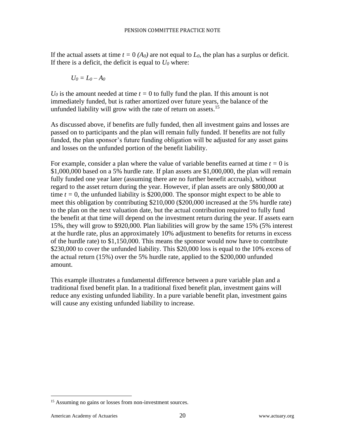If the actual assets at time  $t = 0$  ( $A_0$ ) are not equal to  $L_0$ , the plan has a surplus or deficit. If there is a deficit, the deficit is equal to  $U_0$  where:

$$
U_0=L_0-A_0
$$

 $U_0$  is the amount needed at time  $t = 0$  to fully fund the plan. If this amount is not immediately funded, but is rather amortized over future years, the balance of the unfunded liability will grow with the rate of return on assets.<sup>15</sup>

As discussed above, if benefits are fully funded, then all investment gains and losses are passed on to participants and the plan will remain fully funded. If benefits are not fully funded, the plan sponsor's future funding obligation will be adjusted for any asset gains and losses on the unfunded portion of the benefit liability.

For example, consider a plan where the value of variable benefits earned at time *t =* 0 is \$1,000,000 based on a 5% hurdle rate. If plan assets are \$1,000,000, the plan will remain fully funded one year later (assuming there are no further benefit accruals), without regard to the asset return during the year. However, if plan assets are only \$800,000 at time  $t = 0$ , the unfunded liability is \$200,000. The sponsor might expect to be able to meet this obligation by contributing \$210,000 (\$200,000 increased at the 5% hurdle rate) to the plan on the next valuation date, but the actual contribution required to fully fund the benefit at that time will depend on the investment return during the year. If assets earn 15%, they will grow to \$920,000. Plan liabilities will grow by the same 15% (5% interest at the hurdle rate, plus an approximately 10% adjustment to benefits for returns in excess of the hurdle rate) to \$1,150,000. This means the sponsor would now have to contribute \$230,000 to cover the unfunded liability. This \$20,000 loss is equal to the 10% excess of the actual return (15%) over the 5% hurdle rate, applied to the \$200,000 unfunded amount.

This example illustrates a fundamental difference between a pure variable plan and a traditional fixed benefit plan. In a traditional fixed benefit plan, investment gains will reduce any existing unfunded liability. In a pure variable benefit plan, investment gains will cause any existing unfunded liability to increase.

<sup>&</sup>lt;sup>15</sup> Assuming no gains or losses from non-investment sources.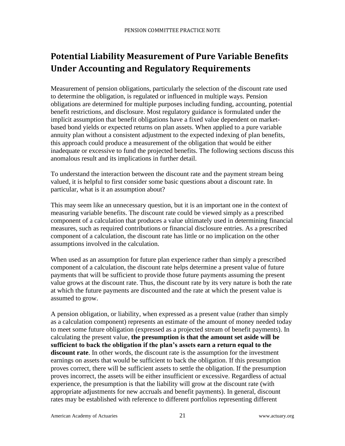# <span id="page-21-0"></span>**Potential Liability Measurement of Pure Variable Benefits Under Accounting and Regulatory Requirements**

Measurement of pension obligations, particularly the selection of the discount rate used to determine the obligation, is regulated or influenced in multiple ways. Pension obligations are determined for multiple purposes including funding, accounting, potential benefit restrictions, and disclosure. Most regulatory guidance is formulated under the implicit assumption that benefit obligations have a fixed value dependent on marketbased bond yields or expected returns on plan assets. When applied to a pure variable annuity plan without a consistent adjustment to the expected indexing of plan benefits, this approach could produce a measurement of the obligation that would be either inadequate or excessive to fund the projected benefits. The following sections discuss this anomalous result and its implications in further detail.

To understand the interaction between the discount rate and the payment stream being valued, it is helpful to first consider some basic questions about a discount rate. In particular, what is it an assumption about?

This may seem like an unnecessary question, but it is an important one in the context of measuring variable benefits. The discount rate could be viewed simply as a prescribed component of a calculation that produces a value ultimately used in determining financial measures, such as required contributions or financial disclosure entries. As a prescribed component of a calculation, the discount rate has little or no implication on the other assumptions involved in the calculation.

When used as an assumption for future plan experience rather than simply a prescribed component of a calculation, the discount rate helps determine a present value of future payments that will be sufficient to provide those future payments assuming the present value grows at the discount rate. Thus, the discount rate by its very nature is both the rate at which the future payments are discounted and the rate at which the present value is assumed to grow.

A pension obligation, or liability, when expressed as a present value (rather than simply as a calculation component) represents an estimate of the amount of money needed today to meet some future obligation (expressed as a projected stream of benefit payments). In calculating the present value, **the presumption is that the amount set aside will be sufficient to back the obligation if the plan's assets earn a return equal to the discount rate**. In other words, the discount rate is the assumption for the investment earnings on assets that would be sufficient to back the obligation. If this presumption proves correct, there will be sufficient assets to settle the obligation. If the presumption proves incorrect, the assets will be either insufficient or excessive. Regardless of actual experience, the presumption is that the liability will grow at the discount rate (with appropriate adjustments for new accruals and benefit payments). In general, discount rates may be established with reference to different portfolios representing different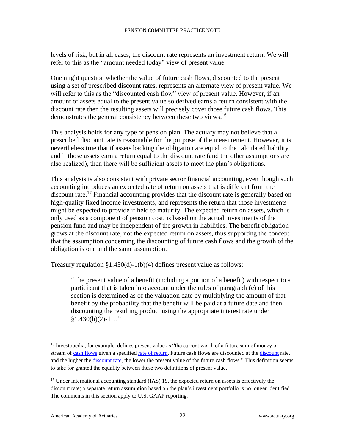levels of risk, but in all cases, the discount rate represents an investment return. We will refer to this as the "amount needed today" view of present value.

One might question whether the value of future cash flows, discounted to the present using a set of prescribed discount rates, represents an alternate view of present value. We will refer to this as the "discounted cash flow" view of present value. However, if an amount of assets equal to the present value so derived earns a return consistent with the discount rate then the resulting assets will precisely cover those future cash flows. This demonstrates the general consistency between these two views.<sup>16</sup>

This analysis holds for any type of pension plan. The actuary may not believe that a prescribed discount rate is reasonable for the purpose of the measurement. However, it is nevertheless true that if assets backing the obligation are equal to the calculated liability and if those assets earn a return equal to the discount rate (and the other assumptions are also realized), then there will be sufficient assets to meet the plan's obligations.

This analysis is also consistent with private sector financial accounting, even though such accounting introduces an expected rate of return on assets that is different from the discount rate.<sup>17</sup> Financial accounting provides that the discount rate is generally based on high-quality fixed income investments, and represents the return that those investments might be expected to provide if held to maturity. The expected return on assets, which is only used as a component of pension cost, is based on the actual investments of the pension fund and may be independent of the growth in liabilities. The benefit obligation grows at the discount rate, not the expected return on assets, thus supporting the concept that the assumption concerning the discounting of future cash flows and the growth of the obligation is one and the same assumption.

Treasury regulation §1.430(d)-1(b)(4) defines present value as follows:

"The present value of a benefit (including a portion of a benefit) with respect to a participant that is taken into account under the rules of paragraph (c) of this section is determined as of the valuation date by multiplying the amount of that benefit by the probability that the benefit will be paid at a future date and then discounting the resulting product using the appropriate interest rate under  $§1.430(h)(2)-1..."$ 

<sup>&</sup>lt;sup>16</sup> Investopedia, for example, defines present value as "the current worth of a future sum of money or stream of [cash flows](http://www.investopedia.com/terms/c/cashflow.asp) given a specified [rate of return.](http://www.investopedia.com/terms/r/rateofreturn.asp) Future cash flows are [discount](http://www.investopedia.com/terms/d/discount.asp)ed at the discount rate, and the higher the [discount rate,](http://www.investopedia.com/video/play/discounting-discount-rate/) the lower the present value of the future cash flows." This definition seems to take for granted the equality between these two definitions of present value.

 $17$  Under international accounting standard (IAS) 19, the expected return on assets is effectively the discount rate; a separate return assumption based on the plan's investment portfolio is no longer identified. The comments in this section apply to U.S. GAAP reporting.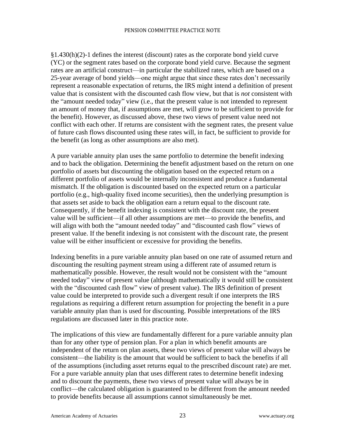$§1.430(h)(2)-1$  defines the interest (discount) rates as the corporate bond yield curve (YC) or the segment rates based on the corporate bond yield curve. Because the segment rates are an artificial construct—in particular the stabilized rates, which are based on a 25-year average of bond yields—one might argue that since these rates don't necessarily represent a reasonable expectation of returns, the IRS might intend a definition of present value that is consistent with the discounted cash flow view, but that is *not* consistent with the "amount needed today" view (i.e., that the present value is not intended to represent an amount of money that, if assumptions are met, will grow to be sufficient to provide for the benefit). However, as discussed above, these two views of present value need not conflict with each other. If returns are consistent with the segment rates, the present value of future cash flows discounted using these rates will, in fact, be sufficient to provide for the benefit (as long as other assumptions are also met).

A pure variable annuity plan uses the same portfolio to determine the benefit indexing and to back the obligation. Determining the benefit adjustment based on the return on one portfolio of assets but discounting the obligation based on the expected return on a different portfolio of assets would be internally inconsistent and produce a fundamental mismatch. If the obligation is discounted based on the expected return on a particular portfolio (e.g., high-quality fixed income securities), then the underlying presumption is that assets set aside to back the obligation earn a return equal to the discount rate. Consequently, if the benefit indexing is consistent with the discount rate, the present value will be sufficient—if all other assumptions are met—to provide the benefits, and will align with both the "amount needed today" and "discounted cash flow" views of present value. If the benefit indexing is not consistent with the discount rate, the present value will be either insufficient or excessive for providing the benefits.

Indexing benefits in a pure variable annuity plan based on one rate of assumed return and discounting the resulting payment stream using a different rate of assumed return is mathematically possible. However, the result would not be consistent with the "amount needed today" view of present value (although mathematically it would still be consistent with the "discounted cash flow" view of present value). The IRS definition of present value could be interpreted to provide such a divergent result if one interprets the IRS regulations as requiring a different return assumption for projecting the benefit in a pure variable annuity plan than is used for discounting. Possible interpretations of the IRS regulations are discussed later in this practice note.

The implications of this view are fundamentally different for a pure variable annuity plan than for any other type of pension plan. For a plan in which benefit amounts are independent of the return on plan assets, these two views of present value will always be consistent—the liability is the amount that would be sufficient to back the benefits if all of the assumptions (including asset returns equal to the prescribed discount rate) are met. For a pure variable annuity plan that uses different rates to determine benefit indexing and to discount the payments, these two views of present value will always be in conflict—the calculated obligation is guaranteed to be different from the amount needed to provide benefits because all assumptions cannot simultaneously be met.

American Academy of Actuaries 23 23 www.actuary.org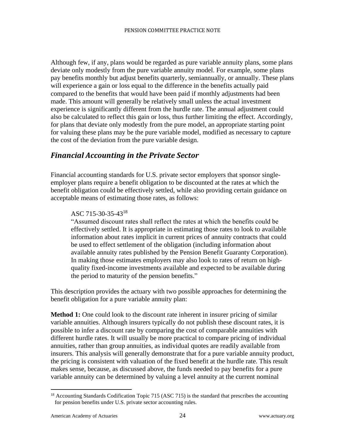Although few, if any, plans would be regarded as pure variable annuity plans, some plans deviate only modestly from the pure variable annuity model. For example, some plans pay benefits monthly but adjust benefits quarterly, semiannually, or annually. These plans will experience a gain or loss equal to the difference in the benefits actually paid compared to the benefits that would have been paid if monthly adjustments had been made. This amount will generally be relatively small unless the actual investment experience is significantly different from the hurdle rate. The annual adjustment could also be calculated to reflect this gain or loss, thus further limiting the effect. Accordingly, for plans that deviate only modestly from the pure model, an appropriate starting point for valuing these plans may be the pure variable model, modified as necessary to capture the cost of the deviation from the pure variable design.

### <span id="page-24-0"></span>*Financial Accounting in the Private Sector*

Financial accounting standards for U.S. private sector employers that sponsor singleemployer plans require a benefit obligation to be discounted at the rates at which the benefit obligation could be effectively settled, while also providing certain guidance on acceptable means of estimating those rates, as follows:

#### ASC 715-30-35-43<sup>18</sup>

"Assumed discount rates shall reflect the rates at which the benefits could be effectively settled. It is appropriate in estimating those rates to look to available information about rates implicit in current prices of annuity contracts that could be used to effect settlement of the obligation (including information about available annuity rates published by the Pension Benefit Guaranty Corporation). In making those estimates employers may also look to rates of return on highquality fixed-income investments available and expected to be available during the period to maturity of the pension benefits."

This description provides the actuary with two possible approaches for determining the benefit obligation for a pure variable annuity plan:

**Method 1:** One could look to the discount rate inherent in insurer pricing of similar variable annuities. Although insurers typically do not publish these discount rates, it is possible to infer a discount rate by comparing the cost of comparable annuities with different hurdle rates. It will usually be more practical to compare pricing of individual annuities, rather than group annuities, as individual quotes are readily available from insurers. This analysis will generally demonstrate that for a pure variable annuity product, the pricing is consistent with valuation of the fixed benefit at the hurdle rate. This result makes sense, because, as discussed above, the funds needed to pay benefits for a pure variable annuity can be determined by valuing a level annuity at the current nominal

 $18$  Accounting Standards Codification Topic 715 (ASC 715) is the standard that prescribes the accounting for pension benefits under U.S. private sector accounting rules.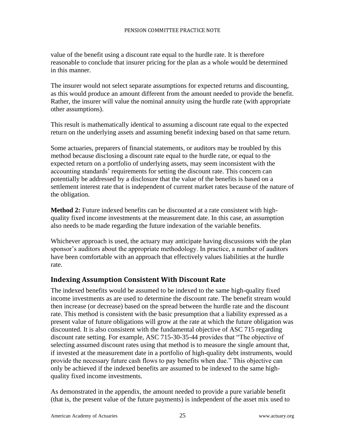value of the benefit using a discount rate equal to the hurdle rate. It is therefore reasonable to conclude that insurer pricing for the plan as a whole would be determined in this manner.

The insurer would not select separate assumptions for expected returns and discounting, as this would produce an amount different from the amount needed to provide the benefit. Rather, the insurer will value the nominal annuity using the hurdle rate (with appropriate other assumptions).

This result is mathematically identical to assuming a discount rate equal to the expected return on the underlying assets and assuming benefit indexing based on that same return.

Some actuaries, preparers of financial statements, or auditors may be troubled by this method because disclosing a discount rate equal to the hurdle rate, or equal to the expected return on a portfolio of underlying assets, may seem inconsistent with the accounting standards' requirements for setting the discount rate. This concern can potentially be addressed by a disclosure that the value of the benefits is based on a settlement interest rate that is independent of current market rates because of the nature of the obligation.

**Method 2:** Future indexed benefits can be discounted at a rate consistent with highquality fixed income investments at the measurement date. In this case, an assumption also needs to be made regarding the future indexation of the variable benefits.

<span id="page-25-0"></span>Whichever approach is used, the actuary may anticipate having discussions with the plan sponsor's auditors about the appropriate methodology. In practice, a number of auditors have been comfortable with an approach that effectively values liabilities at the hurdle rate.

### **Indexing Assumption Consistent With Discount Rate**

The indexed benefits would be assumed to be indexed to the same high-quality fixed income investments as are used to determine the discount rate. The benefit stream would then increase (or decrease) based on the spread between the hurdle rate and the discount rate. This method is consistent with the basic presumption that a liability expressed as a present value of future obligations will grow at the rate at which the future obligation was discounted. It is also consistent with the fundamental objective of ASC 715 regarding discount rate setting. For example, ASC 715-30-35-44 provides that "The objective of selecting assumed discount rates using that method is to measure the single amount that, if invested at the measurement date in a portfolio of high-quality debt instruments, would provide the necessary future cash flows to pay benefits when due." This objective can only be achieved if the indexed benefits are assumed to be indexed to the same highquality fixed income investments.

As demonstrated in the appendix, the amount needed to provide a pure variable benefit (that is, the present value of the future payments) is independent of the asset mix used to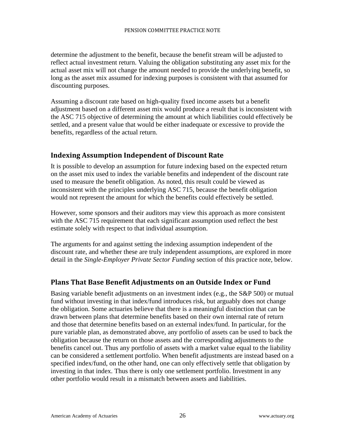determine the adjustment to the benefit, because the benefit stream will be adjusted to reflect actual investment return. Valuing the obligation substituting any asset mix for the actual asset mix will not change the amount needed to provide the underlying benefit, so long as the asset mix assumed for indexing purposes is consistent with that assumed for discounting purposes.

Assuming a discount rate based on high-quality fixed income assets but a benefit adjustment based on a different asset mix would produce a result that is inconsistent with the ASC 715 objective of determining the amount at which liabilities could effectively be settled, and a present value that would be either inadequate or excessive to provide the benefits, regardless of the actual return.

#### <span id="page-26-0"></span>**Indexing Assumption Independent of Discount Rate**

It is possible to develop an assumption for future indexing based on the expected return on the asset mix used to index the variable benefits and independent of the discount rate used to measure the benefit obligation. As noted, this result could be viewed as inconsistent with the principles underlying ASC 715, because the benefit obligation would not represent the amount for which the benefits could effectively be settled.

However, some sponsors and their auditors may view this approach as more consistent with the ASC 715 requirement that each significant assumption used reflect the best estimate solely with respect to that individual assumption.

The arguments for and against setting the indexing assumption independent of the discount rate, and whether these are truly independent assumptions, are explored in more detail in the *Single-Employer Private Sector Funding* section of this practice note, below.

#### <span id="page-26-1"></span>**Plans That Base Benefit Adjustments on an Outside Index or Fund**

Basing variable benefit adjustments on an investment index (e.g., the S&P 500) or mutual fund without investing in that index/fund introduces risk, but arguably does not change the obligation. Some actuaries believe that there is a meaningful distinction that can be drawn between plans that determine benefits based on their own internal rate of return and those that determine benefits based on an external index/fund. In particular, for the pure variable plan, as demonstrated above, any portfolio of assets can be used to back the obligation because the return on those assets and the corresponding adjustments to the benefits cancel out. Thus any portfolio of assets with a market value equal to the liability can be considered a settlement portfolio. When benefit adjustments are instead based on a specified index/fund, on the other hand, one can only effectively settle that obligation by investing in that index. Thus there is only one settlement portfolio. Investment in any other portfolio would result in a mismatch between assets and liabilities.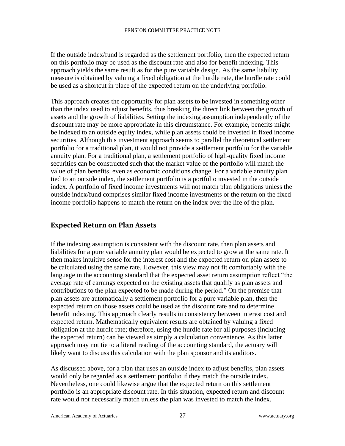If the outside index/fund is regarded as the settlement portfolio, then the expected return on this portfolio may be used as the discount rate and also for benefit indexing. This approach yields the same result as for the pure variable design. As the same liability measure is obtained by valuing a fixed obligation at the hurdle rate, the hurdle rate could be used as a shortcut in place of the expected return on the underlying portfolio.

This approach creates the opportunity for plan assets to be invested in something other than the index used to adjust benefits, thus breaking the direct link between the growth of assets and the growth of liabilities. Setting the indexing assumption independently of the discount rate may be more appropriate in this circumstance. For example, benefits might be indexed to an outside equity index, while plan assets could be invested in fixed income securities. Although this investment approach seems to parallel the theoretical settlement portfolio for a traditional plan, it would not provide a settlement portfolio for the variable annuity plan. For a traditional plan, a settlement portfolio of high-quality fixed income securities can be constructed such that the market value of the portfolio will match the value of plan benefits, even as economic conditions change. For a variable annuity plan tied to an outside index, the settlement portfolio is a portfolio invested in the outside index. A portfolio of fixed income investments will not match plan obligations unless the outside index/fund comprises similar fixed income investments or the return on the fixed income portfolio happens to match the return on the index over the life of the plan.

#### <span id="page-27-0"></span>**Expected Return on Plan Assets**

If the indexing assumption is consistent with the discount rate, then plan assets and liabilities for a pure variable annuity plan would be expected to grow at the same rate. It then makes intuitive sense for the interest cost and the expected return on plan assets to be calculated using the same rate. However, this view may not fit comfortably with the language in the accounting standard that the expected asset return assumption reflect "the average rate of earnings expected on the existing assets that qualify as plan assets and contributions to the plan expected to be made during the period." On the premise that plan assets are automatically a settlement portfolio for a pure variable plan, then the expected return on those assets could be used as the discount rate and to determine benefit indexing. This approach clearly results in consistency between interest cost and expected return. Mathematically equivalent results are obtained by valuing a fixed obligation at the hurdle rate; therefore, using the hurdle rate for all purposes (including the expected return) can be viewed as simply a calculation convenience. As this latter approach may not tie to a literal reading of the accounting standard, the actuary will likely want to discuss this calculation with the plan sponsor and its auditors.

As discussed above, for a plan that uses an outside index to adjust benefits, plan assets would only be regarded as a settlement portfolio if they match the outside index. Nevertheless, one could likewise argue that the expected return on this settlement portfolio is an appropriate discount rate. In this situation, expected return and discount rate would not necessarily match unless the plan was invested to match the index.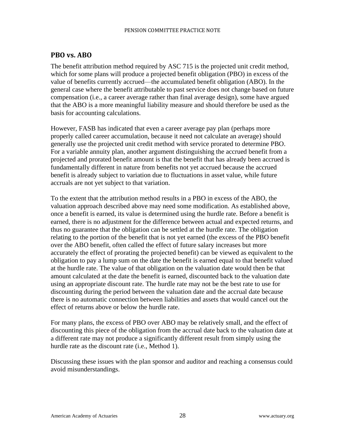#### <span id="page-28-0"></span>**PBO vs. ABO**

The benefit attribution method required by ASC 715 is the projected unit credit method, which for some plans will produce a projected benefit obligation (PBO) in excess of the value of benefits currently accrued—the accumulated benefit obligation (ABO). In the general case where the benefit attributable to past service does not change based on future compensation (i.e., a career average rather than final average design), some have argued that the ABO is a more meaningful liability measure and should therefore be used as the basis for accounting calculations.

However, FASB has indicated that even a career average pay plan (perhaps more properly called career accumulation, because it need not calculate an average) should generally use the projected unit credit method with service prorated to determine PBO. For a variable annuity plan, another argument distinguishing the accrued benefit from a projected and prorated benefit amount is that the benefit that has already been accrued is fundamentally different in nature from benefits not yet accrued because the accrued benefit is already subject to variation due to fluctuations in asset value, while future accruals are not yet subject to that variation.

To the extent that the attribution method results in a PBO in excess of the ABO, the valuation approach described above may need some modification. As established above, once a benefit is earned, its value is determined using the hurdle rate. Before a benefit is earned, there is no adjustment for the difference between actual and expected returns, and thus no guarantee that the obligation can be settled at the hurdle rate. The obligation relating to the portion of the benefit that is not yet earned (the excess of the PBO benefit over the ABO benefit, often called the effect of future salary increases but more accurately the effect of prorating the projected benefit) can be viewed as equivalent to the obligation to pay a lump sum on the date the benefit is earned equal to that benefit valued at the hurdle rate. The value of that obligation on the valuation date would then be that amount calculated at the date the benefit is earned, discounted back to the valuation date using an appropriate discount rate. The hurdle rate may not be the best rate to use for discounting during the period between the valuation date and the accrual date because there is no automatic connection between liabilities and assets that would cancel out the effect of returns above or below the hurdle rate.

For many plans, the excess of PBO over ABO may be relatively small, and the effect of discounting this piece of the obligation from the accrual date back to the valuation date at a different rate may not produce a significantly different result from simply using the hurdle rate as the discount rate (i.e., Method 1).

Discussing these issues with the plan sponsor and auditor and reaching a consensus could avoid misunderstandings.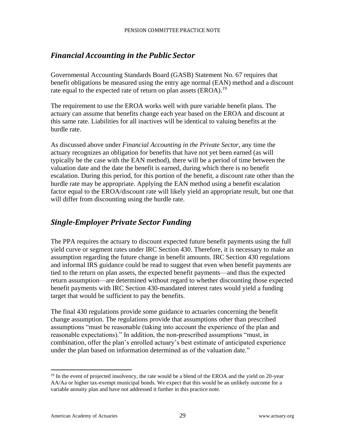### <span id="page-29-0"></span>*Financial Accounting in the Public Sector*

Governmental Accounting Standards Board (GASB) Statement No. 67 requires that benefit obligations be measured using the entry age normal (EAN) method and a discount rate equal to the expected rate of return on plan assets  $(EROA)$ .<sup>19</sup>

The requirement to use the EROA works well with pure variable benefit plans. The actuary can assume that benefits change each year based on the EROA and discount at this same rate. Liabilities for all inactives will be identical to valuing benefits at the hurdle rate.

As discussed above under *Financial Accounting in the Private Sector*, any time the actuary recognizes an obligation for benefits that have not yet been earned (as will typically be the case with the EAN method), there will be a period of time between the valuation date and the date the benefit is earned, during which there is no benefit escalation. During this period, for this portion of the benefit, a discount rate other than the hurdle rate may be appropriate. Applying the EAN method using a benefit escalation factor equal to the EROA/discount rate will likely yield an appropriate result, but one that will differ from discounting using the hurdle rate.

### <span id="page-29-1"></span>*Single-Employer Private Sector Funding*

The PPA requires the actuary to discount expected future benefit payments using the full yield curve or segment rates under IRC Section 430. Therefore, it is necessary to make an assumption regarding the future change in benefit amounts. IRC Section 430 regulations and informal IRS guidance could be read to suggest that even when benefit payments are tied to the return on plan assets, the expected benefit payments—and thus the expected return assumption—are determined without regard to whether discounting those expected benefit payments with IRC Section 430-mandated interest rates would yield a funding target that would be sufficient to pay the benefits.

The final 430 regulations provide some guidance to actuaries concerning the benefit change assumption. The regulations provide that assumptions other than prescribed assumptions "must be reasonable (taking into account the experience of the plan and reasonable expectations)." In addition, the non-prescribed assumptions "must, in combination, offer the plan's enrolled actuary's best estimate of anticipated experience under the plan based on information determined as of the valuation date."

American Academy of Actuaries 29 29 www.actuary.org

 $19$  In the event of projected insolvency, the rate would be a blend of the EROA and the yield on 20-year AA/Aa or higher tax-exempt municipal bonds. We expect that this would be an unlikely outcome for a variable annuity plan and have not addressed it further in this practice note.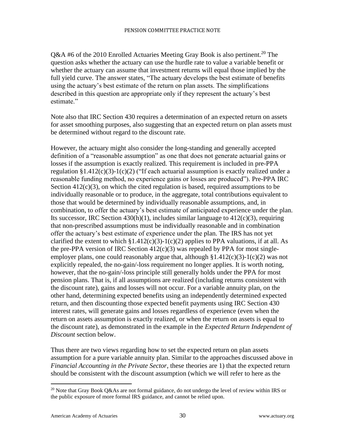Q&A #6 of the 2010 Enrolled Actuaries Meeting Gray Book is also pertinent.<sup>20</sup> The question asks whether the actuary can use the hurdle rate to value a variable benefit or whether the actuary can assume that investment returns will equal those implied by the full yield curve. The answer states, "The actuary develops the best estimate of benefits using the actuary's best estimate of the return on plan assets. The simplifications described in this question are appropriate only if they represent the actuary's best estimate."

Note also that IRC Section 430 requires a determination of an expected return on assets for asset smoothing purposes, also suggesting that an expected return on plan assets must be determined without regard to the discount rate.

However, the actuary might also consider the long-standing and generally accepted definition of a "reasonable assumption" as one that does not generate actuarial gains or losses if the assumption is exactly realized. This requirement is included in pre-PPA regulation §1.412(c)(3)-1(c)(2) ("If each actuarial assumption is exactly realized under a reasonable funding method, no experience gains or losses are produced"). Pre-PPA IRC Section  $412(c)(3)$ , on which the cited regulation is based, required assumptions to be individually reasonable or to produce, in the aggregate, total contributions equivalent to those that would be determined by individually reasonable assumptions, and, in combination, to offer the actuary's best estimate of anticipated experience under the plan. Its successor, IRC Section  $430(h)(1)$ , includes similar language to  $412(c)(3)$ , requiring that non-prescribed assumptions must be individually reasonable and in combination offer the actuary's best estimate of experience under the plan. The IRS has not yet clarified the extent to which  $\S1.412(c)(3)-1(c)(2)$  applies to PPA valuations, if at all. As the pre-PPA version of IRC Section  $412(c)(3)$  was repealed by PPA for most singleemployer plans, one could reasonably argue that, although  $$1.412(c)(3)-1(c)(2)$  was not explicitly repealed, the no-gain/-loss requirement no longer applies. It is worth noting, however, that the no-gain/-loss principle still generally holds under the PPA for most pension plans. That is, if all assumptions are realized (including returns consistent with the discount rate), gains and losses will not occur. For a variable annuity plan, on the other hand, determining expected benefits using an independently determined expected return, and then discounting those expected benefit payments using IRC Section 430 interest rates, will generate gains and losses regardless of experience (even when the return on assets assumption is exactly realized, or when the return on assets is equal to the discount rate), as demonstrated in the example in the *Expected Return Independent of Discount* section below.

Thus there are two views regarding how to set the expected return on plan assets assumption for a pure variable annuity plan. Similar to the approaches discussed above in *Financial Accounting in the Private Sector*, these theories are 1) that the expected return should be consistent with the discount assumption (which we will refer to here as the

<sup>&</sup>lt;sup>20</sup> Note that Gray Book Q&As are not formal guidance, do not undergo the level of review within IRS or the public exposure of more formal IRS guidance, and cannot be relied upon.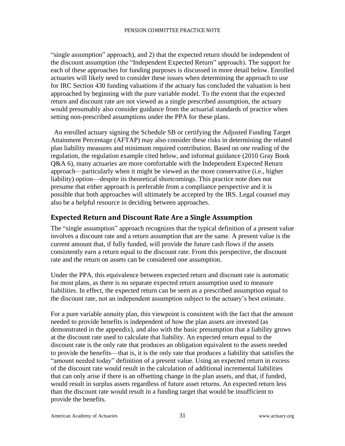"single assumption" approach), and 2) that the expected return should be independent of the discount assumption (the "Independent Expected Return" approach). The support for each of these approaches for funding purposes is discussed in more detail below. Enrolled actuaries will likely need to consider these issues when determining the approach to use for IRC Section 430 funding valuations if the actuary has concluded the valuation is best approached by beginning with the pure variable model. To the extent that the expected return and discount rate are not viewed as a single prescribed assumption, the actuary would presumably also consider guidance from the actuarial standards of practice when setting non-prescribed assumptions under the PPA for these plans.

An enrolled actuary signing the Schedule SB or certifying the Adjusted Funding Target Attainment Percentage (AFTAP) may also consider these risks in determining the related plan liability measures and minimum required contribution. Based on one reading of the regulation, the regulation example cited below, and informal guidance (2010 Gray Book Q&A 6), many actuaries are more comfortable with the Independent Expected Return approach—particularly when it might be viewed as the more conservative (i.e., higher liability) option—despite its theoretical shortcomings. This practice note does not presume that either approach is preferable from a compliance perspective and it is possible that both approaches will ultimately be accepted by the IRS. Legal counsel may also be a helpful resource in deciding between approaches.

#### <span id="page-31-0"></span>**Expected Return and Discount Rate Are a Single Assumption**

The "single assumption" approach recognizes that the typical definition of a present value involves a discount rate and a return assumption that are the same. A present value is the current amount that, if fully funded, will provide the future cash flows if the assets consistently earn a return equal to the discount rate. From this perspective, the discount rate and the return on assets can be considered one assumption.

Under the PPA, this equivalence between expected return and discount rate is automatic for most plans, as there is no separate expected return assumption used to measure liabilities. In effect, the expected return can be seen as a prescribed assumption equal to the discount rate, not an independent assumption subject to the actuary's best estimate.

For a pure variable annuity plan, this viewpoint is consistent with the fact that the amount needed to provide benefits is independent of how the plan assets are invested (as demonstrated in the appendix), and also with the basic presumption that a liability grows at the discount rate used to calculate that liability. An expected return equal to the discount rate is the only rate that produces an obligation equivalent to the assets needed to provide the benefits—that is, it is the only rate that produces a liability that satisfies the "amount needed today" definition of a present value. Using an expected return in excess of the discount rate would result in the calculation of additional incremental liabilities that can only arise if there is an offsetting change in the plan assets, and that, if funded, would result in surplus assets regardless of future asset returns. An expected return less than the discount rate would result in a funding target that would be insufficient to provide the benefits.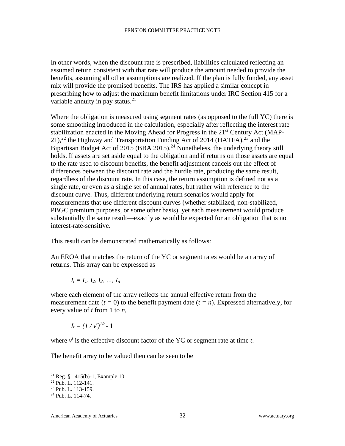In other words, when the discount rate is prescribed, liabilities calculated reflecting an assumed return consistent with that rate will produce the amount needed to provide the benefits, assuming all other assumptions are realized. If the plan is fully funded, any asset mix will provide the promised benefits. The IRS has applied a similar concept in prescribing how to adjust the maximum benefit limitations under IRC Section 415 for a variable annuity in pay status.<sup>21</sup>

Where the obligation is measured using segment rates (as opposed to the full YC) there is some smoothing introduced in the calculation, especially after reflecting the interest rate stabilization enacted in the Moving Ahead for Progress in the 21<sup>st</sup> Century Act (MAP- $21$ ,<sup>22</sup> the Highway and Transportation Funding Act of 2014 (HATFA),<sup>23</sup> and the Bipartisan Budget Act of 2015 (BBA 2015).<sup>24</sup> Nonetheless, the underlying theory still holds. If assets are set aside equal to the obligation and if returns on those assets are equal to the rate used to discount benefits, the benefit adjustment cancels out the effect of differences between the discount rate and the hurdle rate, producing the same result, regardless of the discount rate. In this case, the return assumption is defined not as a single rate, or even as a single set of annual rates, but rather with reference to the discount curve. Thus, different underlying return scenarios would apply for measurements that use different discount curves (whether stabilized, non-stabilized, PBGC premium purposes, or some other basis), yet each measurement would produce substantially the same result—exactly as would be expected for an obligation that is not interest-rate-sensitive.

This result can be demonstrated mathematically as follows:

An EROA that matches the return of the YC or segment rates would be an array of returns. This array can be expressed as

$$
I_t = I_1, I_2, I_3, ..., I_n
$$

where each element of the array reflects the annual effective return from the measurement date  $(t = 0)$  to the benefit payment date  $(t = n)$ . Expressed alternatively, for every value of *t* from 1 to *n*,

$$
I_t=(1/v^t)^{1/t}-1
$$

where  $v^t$  is the effective discount factor of the YC or segment rate at time  $t$ .

The benefit array to be valued then can be seen to be

<sup>21</sup> Reg. §1.415(b)-1, Example 10

<sup>22</sup> Pub. L. 112-141.

<sup>23</sup> Pub. L. 113-159.

<sup>24</sup> Pub. L. 114-74.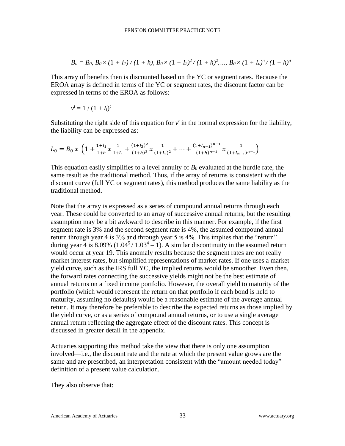$$
B_n = B_0
$$
,  $B_0 \times (1 + I_1) / (1 + h)$ ,  $B_0 \times (1 + I_2)^2 / (1 + h)^2$ , ...,  $B_0 \times (1 + I_n)^n / (1 + h)^n$ 

This array of benefits then is discounted based on the YC or segment rates. Because the EROA array is defined in terms of the YC or segment rates, the discount factor can be expressed in terms of the EROA as follows:

$$
v^t = 1/(1 + I_t)^t
$$

Substituting the right side of this equation for  $v<sup>t</sup>$  in the normal expression for the liability, the liability can be expressed as:

$$
L_0 = B_0 x \left( 1 + \frac{1 + l_1}{1 + h} x \frac{1}{1 + l_1} + \frac{(1 + l_2)^2}{(1 + h)^2} x \frac{1}{(1 + l_2)^2} + \dots + \frac{(1 + l_{n-1})^{n-1}}{(1 + h)^{n-1}} x \frac{1}{(1 + l_{n-1})^{n-1}} \right)
$$

This equation easily simplifies to a level annuity of  $B_0$  evaluated at the hurdle rate, the same result as the traditional method. Thus, if the array of returns is consistent with the discount curve (full YC or segment rates), this method produces the same liability as the traditional method.

Note that the array is expressed as a series of compound annual returns through each year. These could be converted to an array of successive annual returns, but the resulting assumption may be a bit awkward to describe in this manner. For example, if the first segment rate is 3% and the second segment rate is 4%, the assumed compound annual return through year 4 is 3% and through year 5 is 4%. This implies that the "return" during year 4 is 8.09%  $(1.04^5 / 1.03^4 - 1)$ . A similar discontinuity in the assumed return would occur at year 19. This anomaly results because the segment rates are not really market interest rates, but simplified representations of market rates. If one uses a market yield curve, such as the IRS full YC, the implied returns would be smoother. Even then, the forward rates connecting the successive yields might not be the best estimate of annual returns on a fixed income portfolio. However, the overall yield to maturity of the portfolio (which would represent the return on that portfolio if each bond is held to maturity, assuming no defaults) would be a reasonable estimate of the average annual return. It may therefore be preferable to describe the expected returns as those implied by the yield curve, or as a series of compound annual returns, or to use a single average annual return reflecting the aggregate effect of the discount rates. This concept is discussed in greater detail in the appendix.

Actuaries supporting this method take the view that there is only one assumption involved—i.e., the discount rate and the rate at which the present value grows are the same and are prescribed, an interpretation consistent with the "amount needed today" definition of a present value calculation.

They also observe that: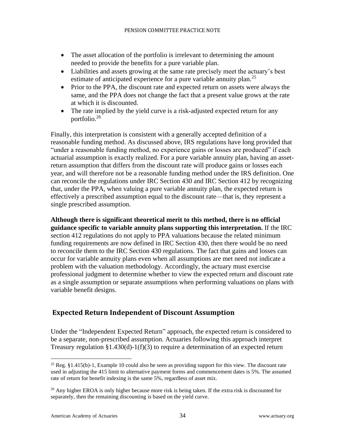- The asset allocation of the portfolio is irrelevant to determining the amount needed to provide the benefits for a pure variable plan.
- Liabilities and assets growing at the same rate precisely meet the actuary's best estimate of anticipated experience for a pure variable annuity plan.<sup>25</sup>
- Prior to the PPA, the discount rate and expected return on assets were always the same, and the PPA does not change the fact that a present value grows at the rate at which it is discounted.
- The rate implied by the yield curve is a risk-adjusted expected return for any portfolio.<sup>26</sup>

Finally, this interpretation is consistent with a generally accepted definition of a reasonable funding method. As discussed above, IRS regulations have long provided that "under a reasonable funding method, no experience gains or losses are produced" if each actuarial assumption is exactly realized. For a pure variable annuity plan, having an assetreturn assumption that differs from the discount rate will produce gains or losses each year, and will therefore not be a reasonable funding method under the IRS definition. One can reconcile the regulations under IRC Section 430 and IRC Section 412 by recognizing that, under the PPA, when valuing a pure variable annuity plan, the expected return is effectively a prescribed assumption equal to the discount rate—that is, they represent a single prescribed assumption.

**Although there is significant theoretical merit to this method, there is no official guidance specific to variable annuity plans supporting this interpretation.** If the IRC section 412 regulations do not apply to PPA valuations because the related minimum funding requirements are now defined in IRC Section 430, then there would be no need to reconcile them to the IRC Section 430 regulations. The fact that gains and losses can occur for variable annuity plans even when all assumptions are met need not indicate a problem with the valuation methodology. Accordingly, the actuary must exercise professional judgment to determine whether to view the expected return and discount rate as a single assumption or separate assumptions when performing valuations on plans with variable benefit designs.

### <span id="page-34-0"></span>**Expected Return Independent of Discount Assumption**

Under the "Independent Expected Return" approach, the expected return is considered to be a separate, non-prescribed assumption. Actuaries following this approach interpret Treasury regulation §1.430(d)-1(f)(3) to require a determination of an expected return

<sup>&</sup>lt;sup>25</sup> Reg. §1.415(b)-1, Example 10 could also be seen as providing support for this view. The discount rate used in adjusting the 415 limit to alternative payment forms and commencement dates is 5%. The assumed rate of return for benefit indexing is the same 5%, regardless of asset mix.

<sup>&</sup>lt;sup>26</sup> Any higher EROA is only higher because more risk is being taken. If the extra risk is discounted for separately, then the remaining discounting is based on the yield curve.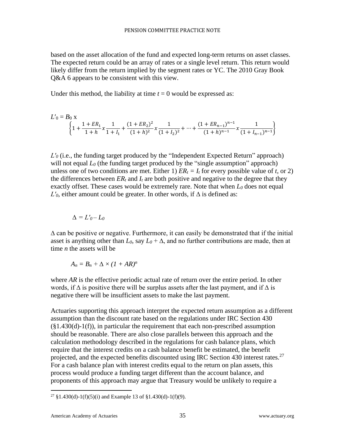based on the asset allocation of the fund and expected long-term returns on asset classes. The expected return could be an array of rates or a single level return. This return would likely differ from the return implied by the segment rates or YC. The 2010 Gray Book Q&A 6 appears to be consistent with this view.

Under this method, the liability at time  $t = 0$  would be expressed as:

$$
L'_{0} = B_{0} x
$$
\n
$$
\left\{ 1 + \frac{1 + ER_{1}}{1 + h} x \frac{1}{1 + I_{1}} + \frac{(1 + ER_{2})^{2}}{(1 + h)^{2}} x \frac{1}{(1 + I_{2})^{2}} + \dots + \frac{(1 + ER_{n-1})^{n-1}}{(1 + h)^{n-1}} x \frac{1}{(1 + I_{n-1})^{n-1}} \right\}
$$

*L'*<sup>0</sup> (i.e., the funding target produced by the "Independent Expected Return" approach) will not equal *L*<sup>0</sup> (the funding target produced by the "single assumption" approach) unless one of two conditions are met. Either 1)  $ER_t = I_t$  for every possible value of *t*, or 2) the differences between  $ER_t$  and  $I_t$  are both positive and negative to the degree that they exactly offset. These cases would be extremely rare. Note that when *L<sup>0</sup>* does not equal  $L'$ <sup>0</sup>, either amount could be greater. In other words, if  $\Delta$  is defined as:

$$
\Delta = L'o - Lo
$$

 $\Delta$  can be positive or negative. Furthermore, it can easily be demonstrated that if the initial asset is anything other than  $L_0$ , say  $L_0 + \Delta$ , and no further contributions are made, then at time *n* the assets will be

$$
A_n=B_n+\Delta\times (1+AR)^n
$$

where *AR* is the effective periodic actual rate of return over the entire period. In other words, if  $\Delta$  is positive there will be surplus assets after the last payment, and if  $\Delta$  is negative there will be insufficient assets to make the last payment.

Actuaries supporting this approach interpret the expected return assumption as a different assumption than the discount rate based on the regulations under IRC Section 430  $(\S1.430(d)-1(f))$ , in particular the requirement that each non-prescribed assumption should be reasonable. There are also close parallels between this approach and the calculation methodology described in the regulations for cash balance plans, which require that the interest credits on a cash balance benefit be estimated, the benefit projected, and the expected benefits discounted using IRC Section 430 interest rates.<sup>27</sup> For a cash balance plan with interest credits equal to the return on plan assets, this process would produce a funding target different than the account balance, and proponents of this approach may argue that Treasury would be unlikely to require a

<sup>&</sup>lt;sup>27</sup> §1.430(d)-1(f)(5)(i) and Example 13 of §1.430(d)-1(f)(9).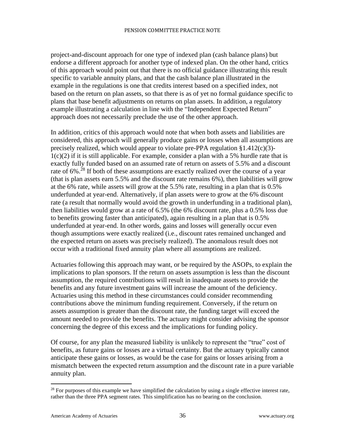project-and-discount approach for one type of indexed plan (cash balance plans) but endorse a different approach for another type of indexed plan. On the other hand, critics of this approach would point out that there is no official guidance illustrating this result specific to variable annuity plans, and that the cash balance plan illustrated in the example in the regulations is one that credits interest based on a specified index, not based on the return on plan assets, so that there is as of yet no formal guidance specific to plans that base benefit adjustments on returns on plan assets. In addition, a regulatory example illustrating a calculation in line with the "Independent Expected Return" approach does not necessarily preclude the use of the other approach.

In addition, critics of this approach would note that when both assets and liabilities are considered, this approach will generally produce gains or losses when all assumptions are precisely realized, which would appear to violate pre-PPA regulation §1.412(c)(3)-  $1(c)(2)$  if it is still applicable. For example, consider a plan with a 5% hurdle rate that is exactly fully funded based on an assumed rate of return on assets of 5.5% and a discount rate of 6%.<sup>28</sup> If both of these assumptions are exactly realized over the course of a year (that is plan assets earn 5.5% and the discount rate remains 6%), then liabilities will grow at the 6% rate, while assets will grow at the 5.5% rate, resulting in a plan that is 0.5% underfunded at year-end. Alternatively, if plan assets were to grow at the 6% discount rate (a result that normally would avoid the growth in underfunding in a traditional plan), then liabilities would grow at a rate of 6.5% (the 6% discount rate, plus a 0.5% loss due to benefits growing faster than anticipated), again resulting in a plan that is 0.5% underfunded at year-end. In other words, gains and losses will generally occur even though assumptions were exactly realized (i.e., discount rates remained unchanged and the expected return on assets was precisely realized). The anomalous result does not occur with a traditional fixed annuity plan where all assumptions are realized.

Actuaries following this approach may want, or be required by the ASOPs, to explain the implications to plan sponsors. If the return on assets assumption is less than the discount assumption, the required contributions will result in inadequate assets to provide the benefits and any future investment gains will increase the amount of the deficiency. Actuaries using this method in these circumstances could consider recommending contributions above the minimum funding requirement. Conversely, if the return on assets assumption is greater than the discount rate, the funding target will exceed the amount needed to provide the benefits. The actuary might consider advising the sponsor concerning the degree of this excess and the implications for funding policy.

Of course, for any plan the measured liability is unlikely to represent the "true" cost of benefits, as future gains or losses are a virtual certainty. But the actuary typically cannot anticipate these gains or losses, as would be the case for gains or losses arising from a mismatch between the expected return assumption and the discount rate in a pure variable annuity plan.

 $28$  For purposes of this example we have simplified the calculation by using a single effective interest rate, rather than the three PPA segment rates. This simplification has no bearing on the conclusion.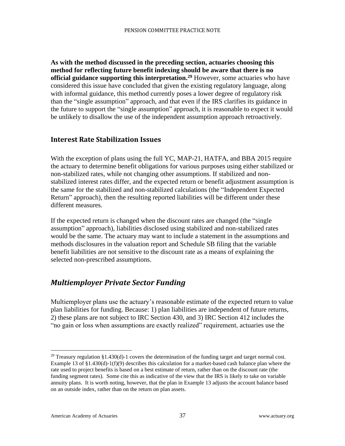**As with the method discussed in the preceding section, actuaries choosing this method for reflecting future benefit indexing should be aware that there is no official guidance supporting this interpretation.<sup>29</sup>** However, some actuaries who have considered this issue have concluded that given the existing regulatory language, along with informal guidance, this method currently poses a lower degree of regulatory risk than the "single assumption" approach, and that even if the IRS clarifies its guidance in the future to support the "single assumption" approach, it is reasonable to expect it would be unlikely to disallow the use of the independent assumption approach retroactively.

#### <span id="page-37-0"></span>**Interest Rate Stabilization Issues**

With the exception of plans using the full YC, MAP-21, HATFA, and BBA 2015 require the actuary to determine benefit obligations for various purposes using either stabilized or non-stabilized rates, while not changing other assumptions. If stabilized and nonstabilized interest rates differ, and the expected return or benefit adjustment assumption is the same for the stabilized and non-stabilized calculations (the "Independent Expected Return" approach), then the resulting reported liabilities will be different under these different measures.

If the expected return is changed when the discount rates are changed (the "single assumption" approach), liabilities disclosed using stabilized and non-stabilized rates would be the same. The actuary may want to include a statement in the assumptions and methods disclosures in the valuation report and Schedule SB filing that the variable benefit liabilities are not sensitive to the discount rate as a means of explaining the selected non-prescribed assumptions.

### <span id="page-37-1"></span>*Multiemployer Private Sector Funding*

Multiemployer plans use the actuary's reasonable estimate of the expected return to value plan liabilities for funding. Because: 1) plan liabilities are independent of future returns, 2) these plans are not subject to IRC Section 430, and 3) IRC Section 412 includes the "no gain or loss when assumptions are exactly realized" requirement, actuaries use the

<sup>&</sup>lt;sup>29</sup> Treasury regulation §1.430(d)-1 covers the determination of the funding target and target normal cost. Example 13 of  $\S1.430(d)-1(f)(9)$  describes this calculation for a market-based cash balance plan where the rate used to project benefits is based on a best estimate of return, rather than on the discount rate (the funding segment rates). Some cite this as indicative of the view that the IRS is likely to take on variable annuity plans. It is worth noting, however, that the plan in Example 13 adjusts the account balance based on an outside index, rather than on the return on plan assets.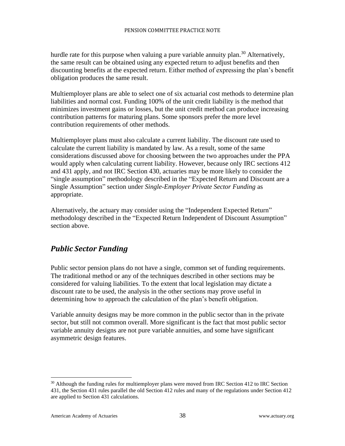hurdle rate for this purpose when valuing a pure variable annuity plan.<sup>30</sup> Alternatively, the same result can be obtained using any expected return to adjust benefits and then discounting benefits at the expected return. Either method of expressing the plan's benefit obligation produces the same result.

Multiemployer plans are able to select one of six actuarial cost methods to determine plan liabilities and normal cost. Funding 100% of the unit credit liability is the method that minimizes investment gains or losses, but the unit credit method can produce increasing contribution patterns for maturing plans. Some sponsors prefer the more level contribution requirements of other methods.

Multiemployer plans must also calculate a current liability. The discount rate used to calculate the current liability is mandated by law. As a result, some of the same considerations discussed above for choosing between the two approaches under the PPA would apply when calculating current liability. However, because only IRC sections 412 and 431 apply, and not IRC Section 430, actuaries may be more likely to consider the "single assumption" methodology described in the "Expected Return and Discount are a Single Assumption" section under *Single-Employer Private Sector Funding* as appropriate.

Alternatively, the actuary may consider using the "Independent Expected Return" methodology described in the "Expected Return Independent of Discount Assumption" section above.

### <span id="page-38-0"></span>*Public Sector Funding*

Public sector pension plans do not have a single, common set of funding requirements. The traditional method or any of the techniques described in other sections may be considered for valuing liabilities. To the extent that local legislation may dictate a discount rate to be used, the analysis in the other sections may prove useful in determining how to approach the calculation of the plan's benefit obligation.

Variable annuity designs may be more common in the public sector than in the private sector, but still not common overall. More significant is the fact that most public sector variable annuity designs are not pure variable annuities, and some have significant asymmetric design features.

 $30$  Although the funding rules for multiemployer plans were moved from IRC Section 412 to IRC Section 431, the Section 431 rules parallel the old Section 412 rules and many of the regulations under Section 412 are applied to Section 431 calculations.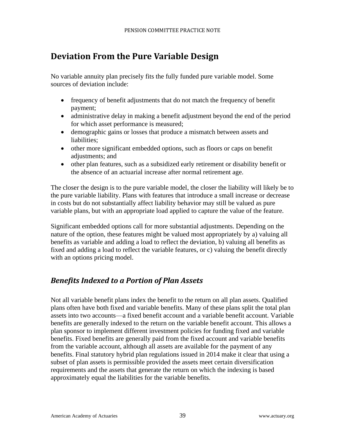# <span id="page-39-0"></span>**Deviation From the Pure Variable Design**

No variable annuity plan precisely fits the fully funded pure variable model. Some sources of deviation include:

- frequency of benefit adjustments that do not match the frequency of benefit payment;
- administrative delay in making a benefit adjustment beyond the end of the period for which asset performance is measured;
- demographic gains or losses that produce a mismatch between assets and liabilities;
- other more significant embedded options, such as floors or caps on benefit adjustments; and
- other plan features, such as a subsidized early retirement or disability benefit or the absence of an actuarial increase after normal retirement age.

The closer the design is to the pure variable model, the closer the liability will likely be to the pure variable liability. Plans with features that introduce a small increase or decrease in costs but do not substantially affect liability behavior may still be valued as pure variable plans, but with an appropriate load applied to capture the value of the feature.

Significant embedded options call for more substantial adjustments. Depending on the nature of the option, these features might be valued most appropriately by a) valuing all benefits as variable and adding a load to reflect the deviation, b) valuing all benefits as fixed and adding a load to reflect the variable features, or c) valuing the benefit directly with an options pricing model.

### <span id="page-39-1"></span>*Benefits Indexed to a Portion of Plan Assets*

Not all variable benefit plans index the benefit to the return on all plan assets. Qualified plans often have both fixed and variable benefits. Many of these plans split the total plan assets into two accounts—a fixed benefit account and a variable benefit account. Variable benefits are generally indexed to the return on the variable benefit account. This allows a plan sponsor to implement different investment policies for funding fixed and variable benefits. Fixed benefits are generally paid from the fixed account and variable benefits from the variable account, although all assets are available for the payment of any benefits. Final statutory hybrid plan regulations issued in 2014 make it clear that using a subset of plan assets is permissible provided the assets meet certain diversification requirements and the assets that generate the return on which the indexing is based approximately equal the liabilities for the variable benefits.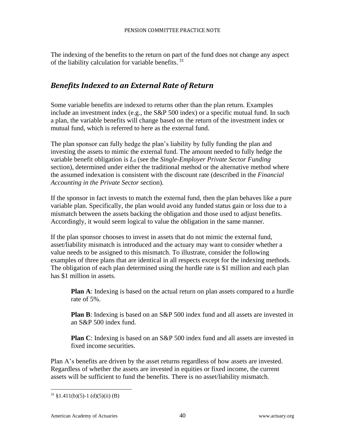The indexing of the benefits to the return on part of the fund does not change any aspect of the liability calculation for variable benefits.<sup>31</sup>

### <span id="page-40-0"></span>*Benefits Indexed to an External Rate of Return*

Some variable benefits are indexed to returns other than the plan return. Examples include an investment index (e.g., the S&P 500 index) or a specific mutual fund. In such a plan, the variable benefits will change based on the return of the investment index or mutual fund, which is referred to here as the external fund.

The plan sponsor can fully hedge the plan's liability by fully funding the plan and investing the assets to mimic the external fund. The amount needed to fully hedge the variable benefit obligation is *L<sup>0</sup>* (see the *Single-Employer Private Sector Funding* section), determined under either the traditional method or the alternative method where the assumed indexation is consistent with the discount rate (described in the *Financial Accounting in the Private Sector* section).

If the sponsor in fact invests to match the external fund, then the plan behaves like a pure variable plan. Specifically, the plan would avoid any funded status gain or loss due to a mismatch between the assets backing the obligation and those used to adjust benefits. Accordingly, it would seem logical to value the obligation in the same manner.

If the plan sponsor chooses to invest in assets that do not mimic the external fund, asset/liability mismatch is introduced and the actuary may want to consider whether a value needs to be assigned to this mismatch. To illustrate, consider the following examples of three plans that are identical in all respects except for the indexing methods. The obligation of each plan determined using the hurdle rate is \$1 million and each plan has \$1 million in assets.

**Plan A**: Indexing is based on the actual return on plan assets compared to a hurdle rate of 5%.

**Plan B**: Indexing is based on an S&P 500 index fund and all assets are invested in an S&P 500 index fund.

**Plan C**: Indexing is based on an S&P 500 index fund and all assets are invested in fixed income securities.

Plan A's benefits are driven by the asset returns regardless of how assets are invested. Regardless of whether the assets are invested in equities or fixed income, the current assets will be sufficient to fund the benefits. There is no asset/liability mismatch.

 $31 \text{ } \frac{1}{2} 1.411(b)(5) - 1 \text{ (d)}(5)(ii) \text{ (B)}$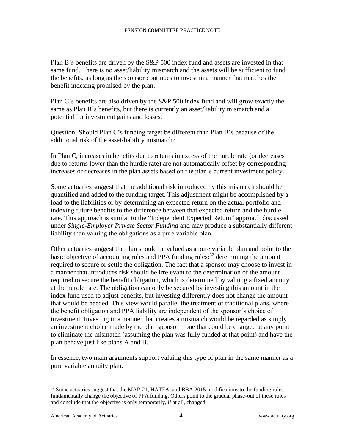Plan B's benefits are driven by the S&P 500 index fund and assets are invested in that same fund. There is no asset/liability mismatch and the assets will be sufficient to fund the benefits, as long as the sponsor continues to invest in a manner that matches the benefit indexing promised by the plan.

Plan C's benefits are also driven by the S&P 500 index fund and will grow exactly the same as Plan B's benefits, but there is currently an asset/liability mismatch and a potential for investment gains and losses.

Question: Should Plan C's funding target be different than Plan B's because of the additional risk of the asset/liability mismatch?

In Plan C, increases in benefits due to returns in excess of the hurdle rate (or decreases due to returns lower than the hurdle rate) are not automatically offset by corresponding increases or decreases in the plan assets based on the plan's current investment policy.

Some actuaries suggest that the additional risk introduced by this mismatch should be quantified and added to the funding target. This adjustment might be accomplished by a load to the liabilities or by determining an expected return on the actual portfolio and indexing future benefits to the difference between that expected return and the hurdle rate. This approach is similar to the "Independent Expected Return" approach discussed under *Single-Employer Private Sector Funding* and may produce a substantially different liability than valuing the obligations as a pure variable plan.

Other actuaries suggest the plan should be valued as a pure variable plan and point to the basic objective of accounting rules and PPA funding rules:<sup>32</sup> determining the amount required to secure or settle the obligation. The fact that a sponsor may choose to invest in a manner that introduces risk should be irrelevant to the determination of the amount required to secure the benefit obligation, which is determined by valuing a fixed annuity at the hurdle rate. The obligation can only be secured by investing this amount in the index fund used to adjust benefits, but investing differently does not change the amount that would be needed. This view would parallel the treatment of traditional plans, where the benefit obligation and PPA liability are independent of the sponsor's choice of investment. Investing in a manner that creates a mismatch would be regarded as simply an investment choice made by the plan sponsor—one that could be changed at any point to eliminate the mismatch (assuming the plan was fully funded at that point) and have the plan behave just like plans A and B.

In essence, two main arguments support valuing this type of plan in the same manner as a pure variable annuity plan:

 $32$  Some actuaries suggest that the MAP-21, HATFA, and BBA 2015 modifications to the funding rules fundamentally change the objective of PPA funding. Others point to the gradual phase-out of these rules and conclude that the objective is only temporarily, if at all, changed.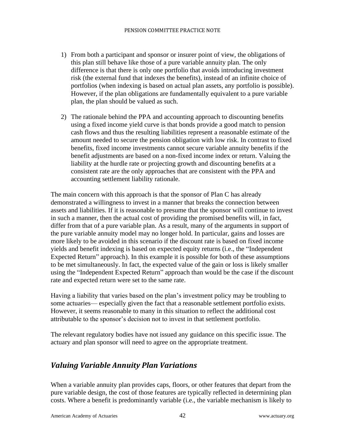- 1) From both a participant and sponsor or insurer point of view, the obligations of this plan still behave like those of a pure variable annuity plan. The only difference is that there is only one portfolio that avoids introducing investment risk (the external fund that indexes the benefits), instead of an infinite choice of portfolios (when indexing is based on actual plan assets, any portfolio is possible). However, if the plan obligations are fundamentally equivalent to a pure variable plan, the plan should be valued as such.
- 2) The rationale behind the PPA and accounting approach to discounting benefits using a fixed income yield curve is that bonds provide a good match to pension cash flows and thus the resulting liabilities represent a reasonable estimate of the amount needed to secure the pension obligation with low risk. In contrast to fixed benefits, fixed income investments cannot secure variable annuity benefits if the benefit adjustments are based on a non-fixed income index or return. Valuing the liability at the hurdle rate or projecting growth and discounting benefits at a consistent rate are the only approaches that are consistent with the PPA and accounting settlement liability rationale.

The main concern with this approach is that the sponsor of Plan C has already demonstrated a willingness to invest in a manner that breaks the connection between assets and liabilities. If it is reasonable to presume that the sponsor will continue to invest in such a manner, then the actual cost of providing the promised benefits will, in fact, differ from that of a pure variable plan. As a result, many of the arguments in support of the pure variable annuity model may no longer hold. In particular, gains and losses are more likely to be avoided in this scenario if the discount rate is based on fixed income yields and benefit indexing is based on expected equity returns (i.e., the "Independent Expected Return" approach). In this example it is possible for both of these assumptions to be met simultaneously. In fact, the expected value of the gain or loss is likely smaller using the "Independent Expected Return" approach than would be the case if the discount rate and expected return were set to the same rate.

Having a liability that varies based on the plan's investment policy may be troubling to some actuaries— especially given the fact that a reasonable settlement portfolio exists. However, it seems reasonable to many in this situation to reflect the additional cost attributable to the sponsor's decision not to invest in that settlement portfolio.

The relevant regulatory bodies have not issued any guidance on this specific issue. The actuary and plan sponsor will need to agree on the appropriate treatment.

### <span id="page-42-0"></span>*Valuing Variable Annuity Plan Variations*

When a variable annuity plan provides caps, floors, or other features that depart from the pure variable design, the cost of those features are typically reflected in determining plan costs. Where a benefit is predominantly variable (i.e., the variable mechanism is likely to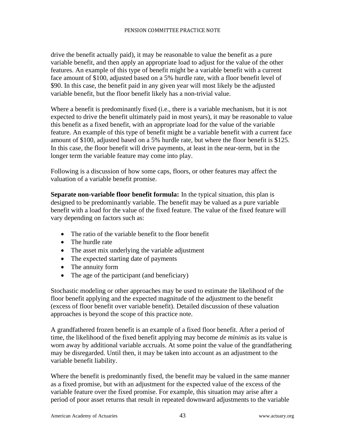drive the benefit actually paid), it may be reasonable to value the benefit as a pure variable benefit, and then apply an appropriate load to adjust for the value of the other features. An example of this type of benefit might be a variable benefit with a current face amount of \$100, adjusted based on a 5% hurdle rate, with a floor benefit level of \$90. In this case, the benefit paid in any given year will most likely be the adjusted variable benefit, but the floor benefit likely has a non-trivial value.

Where a benefit is predominantly fixed (i.e., there is a variable mechanism, but it is not expected to drive the benefit ultimately paid in most years), it may be reasonable to value this benefit as a fixed benefit, with an appropriate load for the value of the variable feature. An example of this type of benefit might be a variable benefit with a current face amount of \$100, adjusted based on a 5% hurdle rate, but where the floor benefit is \$125. In this case, the floor benefit will drive payments, at least in the near-term, but in the longer term the variable feature may come into play.

Following is a discussion of how some caps, floors, or other features may affect the valuation of a variable benefit promise.

**Separate non-variable floor benefit formula:** In the typical situation, this plan is designed to be predominantly variable. The benefit may be valued as a pure variable benefit with a load for the value of the fixed feature. The value of the fixed feature will vary depending on factors such as:

- The ratio of the variable benefit to the floor benefit
- The hurdle rate
- The asset mix underlying the variable adjustment
- The expected starting date of payments
- The annuity form
- The age of the participant (and beneficiary)

Stochastic modeling or other approaches may be used to estimate the likelihood of the floor benefit applying and the expected magnitude of the adjustment to the benefit (excess of floor benefit over variable benefit). Detailed discussion of these valuation approaches is beyond the scope of this practice note.

A grandfathered frozen benefit is an example of a fixed floor benefit. After a period of time, the likelihood of the fixed benefit applying may become *de minimis* as its value is worn away by additional variable accruals. At some point the value of the grandfathering may be disregarded. Until then, it may be taken into account as an adjustment to the variable benefit liability.

Where the benefit is predominantly fixed, the benefit may be valued in the same manner as a fixed promise, but with an adjustment for the expected value of the excess of the variable feature over the fixed promise. For example, this situation may arise after a period of poor asset returns that result in repeated downward adjustments to the variable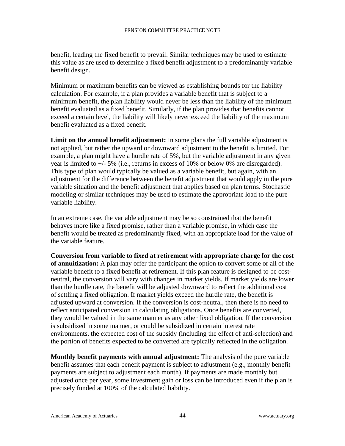benefit, leading the fixed benefit to prevail. Similar techniques may be used to estimate this value as are used to determine a fixed benefit adjustment to a predominantly variable benefit design.

Minimum or maximum benefits can be viewed as establishing bounds for the liability calculation. For example, if a plan provides a variable benefit that is subject to a minimum benefit, the plan liability would never be less than the liability of the minimum benefit evaluated as a fixed benefit. Similarly, if the plan provides that benefits cannot exceed a certain level, the liability will likely never exceed the liability of the maximum benefit evaluated as a fixed benefit.

**Limit on the annual benefit adjustment:** In some plans the full variable adjustment is not applied, but rather the upward or downward adjustment to the benefit is limited. For example, a plan might have a hurdle rate of 5%, but the variable adjustment in any given year is limited to +/- 5% (i.e., returns in excess of 10% or below 0% are disregarded). This type of plan would typically be valued as a variable benefit, but again, with an adjustment for the difference between the benefit adjustment that would apply in the pure variable situation and the benefit adjustment that applies based on plan terms. Stochastic modeling or similar techniques may be used to estimate the appropriate load to the pure variable liability.

In an extreme case, the variable adjustment may be so constrained that the benefit behaves more like a fixed promise, rather than a variable promise, in which case the benefit would be treated as predominantly fixed, with an appropriate load for the value of the variable feature.

**Conversion from variable to fixed at retirement with appropriate charge for the cost of annuitization:** A plan may offer the participant the option to convert some or all of the variable benefit to a fixed benefit at retirement. If this plan feature is designed to be costneutral, the conversion will vary with changes in market yields. If market yields are lower than the hurdle rate, the benefit will be adjusted downward to reflect the additional cost of settling a fixed obligation. If market yields exceed the hurdle rate, the benefit is adjusted upward at conversion. If the conversion is cost-neutral, then there is no need to reflect anticipated conversion in calculating obligations. Once benefits are converted, they would be valued in the same manner as any other fixed obligation. If the conversion is subsidized in some manner, or could be subsidized in certain interest rate environments, the expected cost of the subsidy (including the effect of anti-selection) and the portion of benefits expected to be converted are typically reflected in the obligation.

**Monthly benefit payments with annual adjustment:** The analysis of the pure variable benefit assumes that each benefit payment is subject to adjustment (e.g., monthly benefit payments are subject to adjustment each month). If payments are made monthly but adjusted once per year, some investment gain or loss can be introduced even if the plan is precisely funded at 100% of the calculated liability.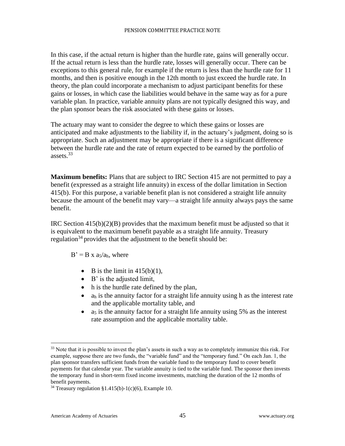In this case, if the actual return is higher than the hurdle rate, gains will generally occur. If the actual return is less than the hurdle rate, losses will generally occur. There can be exceptions to this general rule, for example if the return is less than the hurdle rate for 11 months, and then is positive enough in the 12th month to just exceed the hurdle rate. In theory, the plan could incorporate a mechanism to adjust participant benefits for these gains or losses, in which case the liabilities would behave in the same way as for a pure variable plan. In practice, variable annuity plans are not typically designed this way, and the plan sponsor bears the risk associated with these gains or losses.

The actuary may want to consider the degree to which these gains or losses are anticipated and make adjustments to the liability if, in the actuary's judgment, doing so is appropriate. Such an adjustment may be appropriate if there is a significant difference between the hurdle rate and the rate of return expected to be earned by the portfolio of assets.<sup>33</sup>

**Maximum benefits:** Plans that are subject to IRC Section 415 are not permitted to pay a benefit (expressed as a straight life annuity) in excess of the dollar limitation in Section 415(b). For this purpose, a variable benefit plan is not considered a straight life annuity because the amount of the benefit may vary—a straight life annuity always pays the same benefit.

IRC Section 415(b)(2)(B) provides that the maximum benefit must be adjusted so that it is equivalent to the maximum benefit payable as a straight life annuity. Treasury regulation<sup>34</sup> provides that the adjustment to the benefit should be:

 $B' = B x a_5/a_h$ , where

- B is the limit in  $415(b)(1)$ ,
- B' is the adjusted limit,
- h is the hurdle rate defined by the plan,
- $\bullet$  a<sub>h</sub> is the annuity factor for a straight life annuity using h as the interest rate and the applicable mortality table, and
- a<sub>5</sub> is the annuity factor for a straight life annuity using 5% as the interest rate assumption and the applicable mortality table.

<sup>&</sup>lt;sup>33</sup> Note that it is possible to invest the plan's assets in such a way as to completely immunize this risk. For example, suppose there are two funds, the "variable fund" and the "temporary fund." On each Jan. 1, the plan sponsor transfers sufficient funds from the variable fund to the temporary fund to cover benefit payments for that calendar year. The variable annuity is tied to the variable fund. The sponsor then invests the temporary fund in short-term fixed income investments, matching the duration of the 12 months of benefit payments.

<sup>&</sup>lt;sup>34</sup> Treasury regulation §1.415(b)-1(c)(6), Example 10.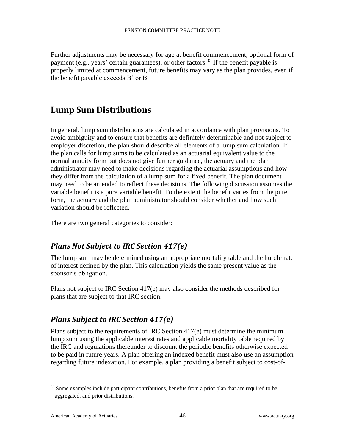Further adjustments may be necessary for age at benefit commencement, optional form of payment (e.g., years' certain guarantees), or other factors.<sup>35</sup> If the benefit payable is properly limited at commencement, future benefits may vary as the plan provides, even if the benefit payable exceeds B' or B.

## <span id="page-46-0"></span>**Lump Sum Distributions**

In general, lump sum distributions are calculated in accordance with plan provisions. To avoid ambiguity and to ensure that benefits are definitely determinable and not subject to employer discretion, the plan should describe all elements of a lump sum calculation. If the plan calls for lump sums to be calculated as an actuarial equivalent value to the normal annuity form but does not give further guidance, the actuary and the plan administrator may need to make decisions regarding the actuarial assumptions and how they differ from the calculation of a lump sum for a fixed benefit. The plan document may need to be amended to reflect these decisions. The following discussion assumes the variable benefit is a pure variable benefit. To the extent the benefit varies from the pure form, the actuary and the plan administrator should consider whether and how such variation should be reflected.

There are two general categories to consider:

### <span id="page-46-1"></span>*Plans Not Subject to IRC Section 417(e)*

The lump sum may be determined using an appropriate mortality table and the hurdle rate of interest defined by the plan. This calculation yields the same present value as the sponsor's obligation.

Plans not subject to IRC Section 417(e) may also consider the methods described for plans that are subject to that IRC section.

### <span id="page-46-2"></span>*Plans Subject to IRC Section 417(e)*

Plans subject to the requirements of IRC Section 417(e) must determine the minimum lump sum using the applicable interest rates and applicable mortality table required by the IRC and regulations thereunder to discount the periodic benefits otherwise expected to be paid in future years. A plan offering an indexed benefit must also use an assumption regarding future indexation. For example, a plan providing a benefit subject to cost-of-

<sup>&</sup>lt;sup>35</sup> Some examples include participant contributions, benefits from a prior plan that are required to be aggregated, and prior distributions.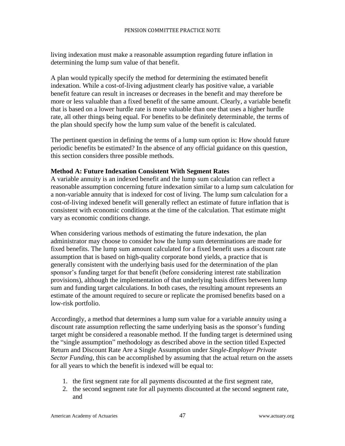living indexation must make a reasonable assumption regarding future inflation in determining the lump sum value of that benefit.

A plan would typically specify the method for determining the estimated benefit indexation. While a cost-of-living adjustment clearly has positive value, a variable benefit feature can result in increases or decreases in the benefit and may therefore be more or less valuable than a fixed benefit of the same amount. Clearly, a variable benefit that is based on a lower hurdle rate is more valuable than one that uses a higher hurdle rate, all other things being equal. For benefits to be definitely determinable, the terms of the plan should specify how the lump sum value of the benefit is calculated.

The pertinent question in defining the terms of a lump sum option is: How should future periodic benefits be estimated? In the absence of any official guidance on this question, this section considers three possible methods.

#### **Method A: Future Indexation Consistent With Segment Rates**

A variable annuity is an indexed benefit and the lump sum calculation can reflect a reasonable assumption concerning future indexation similar to a lump sum calculation for a non-variable annuity that is indexed for cost of living. The lump sum calculation for a cost-of-living indexed benefit will generally reflect an estimate of future inflation that is consistent with economic conditions at the time of the calculation. That estimate might vary as economic conditions change.

When considering various methods of estimating the future indexation, the plan administrator may choose to consider how the lump sum determinations are made for fixed benefits. The lump sum amount calculated for a fixed benefit uses a discount rate assumption that is based on high-quality corporate bond yields, a practice that is generally consistent with the underlying basis used for the determination of the plan sponsor's funding target for that benefit (before considering interest rate stabilization provisions), although the implementation of that underlying basis differs between lump sum and funding target calculations. In both cases, the resulting amount represents an estimate of the amount required to secure or replicate the promised benefits based on a low-risk portfolio.

Accordingly, a method that determines a lump sum value for a variable annuity using a discount rate assumption reflecting the same underlying basis as the sponsor's funding target might be considered a reasonable method. If the funding target is determined using the "single assumption" methodology as described above in the section titled Expected Return and Discount Rate Are a Single Assumption under *Single-Employer Private Sector Funding*, this can be accomplished by assuming that the actual return on the assets for all years to which the benefit is indexed will be equal to:

- 1. the first segment rate for all payments discounted at the first segment rate,
- 2. the second segment rate for all payments discounted at the second segment rate, and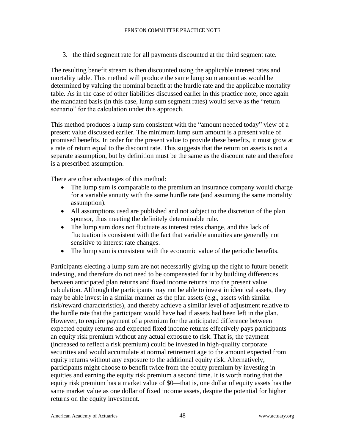3. the third segment rate for all payments discounted at the third segment rate.

The resulting benefit stream is then discounted using the applicable interest rates and mortality table. This method will produce the same lump sum amount as would be determined by valuing the nominal benefit at the hurdle rate and the applicable mortality table. As in the case of other liabilities discussed earlier in this practice note, once again the mandated basis (in this case, lump sum segment rates) would serve as the "return scenario" for the calculation under this approach.

This method produces a lump sum consistent with the "amount needed today" view of a present value discussed earlier. The minimum lump sum amount is a present value of promised benefits. In order for the present value to provide these benefits, it must grow at a rate of return equal to the discount rate. This suggests that the return on assets is not a separate assumption, but by definition must be the same as the discount rate and therefore is a prescribed assumption.

There are other advantages of this method:

- The lump sum is comparable to the premium an insurance company would charge for a variable annuity with the same hurdle rate (and assuming the same mortality assumption).
- All assumptions used are published and not subject to the discretion of the plan sponsor, thus meeting the definitely determinable rule.
- The lump sum does not fluctuate as interest rates change, and this lack of fluctuation is consistent with the fact that variable annuities are generally not sensitive to interest rate changes.
- The lump sum is consistent with the economic value of the periodic benefits.

Participants electing a lump sum are not necessarily giving up the right to future benefit indexing, and therefore do not need to be compensated for it by building differences between anticipated plan returns and fixed income returns into the present value calculation. Although the participants may not be able to invest in identical assets, they may be able invest in a similar manner as the plan assets (e.g., assets with similar risk/reward characteristics), and thereby achieve a similar level of adjustment relative to the hurdle rate that the participant would have had if assets had been left in the plan. However, to require payment of a premium for the anticipated difference between expected equity returns and expected fixed income returns effectively pays participants an equity risk premium without any actual exposure to risk. That is, the payment (increased to reflect a risk premium) could be invested in high-quality corporate securities and would accumulate at normal retirement age to the amount expected from equity returns without any exposure to the additional equity risk. Alternatively, participants might choose to benefit twice from the equity premium by investing in equities and earning the equity risk premium a second time. It is worth noting that the equity risk premium has a market value of \$0—that is, one dollar of equity assets has the same market value as one dollar of fixed income assets, despite the potential for higher returns on the equity investment.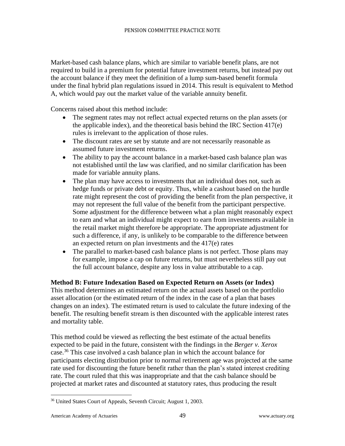Market-based cash balance plans, which are similar to variable benefit plans, are not required to build in a premium for potential future investment returns, but instead pay out the account balance if they meet the definition of a lump sum-based benefit formula under the final hybrid plan regulations issued in 2014. This result is equivalent to Method A, which would pay out the market value of the variable annuity benefit.

Concerns raised about this method include:

- The segment rates may not reflect actual expected returns on the plan assets (or the applicable index), and the theoretical basis behind the IRC Section 417(e) rules is irrelevant to the application of those rules.
- The discount rates are set by statute and are not necessarily reasonable as assumed future investment returns.
- The ability to pay the account balance in a market-based cash balance plan was not established until the law was clarified, and no similar clarification has been made for variable annuity plans.
- The plan may have access to investments that an individual does not, such as hedge funds or private debt or equity. Thus, while a cashout based on the hurdle rate might represent the cost of providing the benefit from the plan perspective, it may not represent the full value of the benefit from the participant perspective. Some adjustment for the difference between what a plan might reasonably expect to earn and what an individual might expect to earn from investments available in the retail market might therefore be appropriate. The appropriate adjustment for such a difference, if any, is unlikely to be comparable to the difference between an expected return on plan investments and the 417(e) rates
- The parallel to market-based cash balance plans is not perfect. Those plans may for example, impose a cap on future returns, but must nevertheless still pay out the full account balance, despite any loss in value attributable to a cap.

#### **Method B: Future Indexation Based on Expected Return on Assets (or Index)**

This method determines an estimated return on the actual assets based on the portfolio asset allocation (or the estimated return of the index in the case of a plan that bases changes on an index). The estimated return is used to calculate the future indexing of the benefit. The resulting benefit stream is then discounted with the applicable interest rates and mortality table.

This method could be viewed as reflecting the best estimate of the actual benefits expected to be paid in the future, consistent with the findings in the *Berger v. Xerox* case.<sup>36</sup> This case involved a cash balance plan in which the account balance for participants electing distribution prior to normal retirement age was projected at the same rate used for discounting the future benefit rather than the plan's stated interest crediting rate. The court ruled that this was inappropriate and that the cash balance should be projected at market rates and discounted at statutory rates, thus producing the result

<sup>36</sup> United States Court of Appeals, Seventh Circuit; August 1, 2003.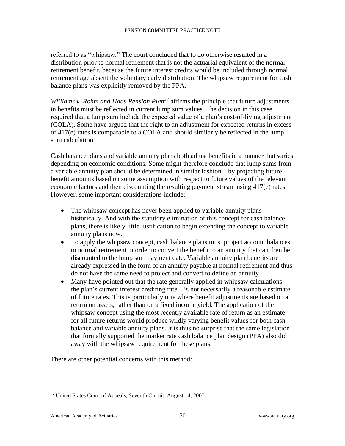referred to as "whipsaw." The court concluded that to do otherwise resulted in a distribution prior to normal retirement that is not the actuarial equivalent of the normal retirement benefit, because the future interest credits would be included through normal retirement age absent the voluntary early distribution. The whipsaw requirement for cash balance plans was explicitly removed by the PPA.

*Williams v. Rohm and Haas Pension Plan*<sup>37</sup> affirms the principle that future adjustments in benefits must be reflected in current lump sum values. The decision in this case required that a lump sum include the expected value of a plan's cost-of-living adjustment (COLA). Some have argued that the right to an adjustment for expected returns in excess of 417(e) rates is comparable to a COLA and should similarly be reflected in the lump sum calculation.

Cash balance plans and variable annuity plans both adjust benefits in a manner that varies depending on economic conditions. Some might therefore conclude that lump sums from a variable annuity plan should be determined in similar fashion—by projecting future benefit amounts based on some assumption with respect to future values of the relevant economic factors and then discounting the resulting payment stream using 417(e) rates. However, some important considerations include:

- The whipsaw concept has never been applied to variable annuity plans historically. And with the statutory elimination of this concept for cash balance plans, there is likely little justification to begin extending the concept to variable annuity plans now.
- To apply the whipsaw concept, cash balance plans must project account balances to normal retirement in order to convert the benefit to an annuity that can then be discounted to the lump sum payment date. Variable annuity plan benefits are already expressed in the form of an annuity payable at normal retirement and thus do not have the same need to project and convert to define an annuity.
- Many have pointed out that the rate generally applied in whipsaw calculations the plan's current interest crediting rate—is not necessarily a reasonable estimate of future rates. This is particularly true where benefit adjustments are based on a return on assets, rather than on a fixed income yield. The application of the whipsaw concept using the most recently available rate of return as an estimate for all future returns would produce wildly varying benefit values for both cash balance and variable annuity plans. It is thus no surprise that the same legislation that formally supported the market rate cash balance plan design (PPA) also did away with the whipsaw requirement for these plans.

There are other potential concerns with this method:

<sup>&</sup>lt;sup>37</sup> United States Court of Appeals, Seventh Circuit; August 14, 2007.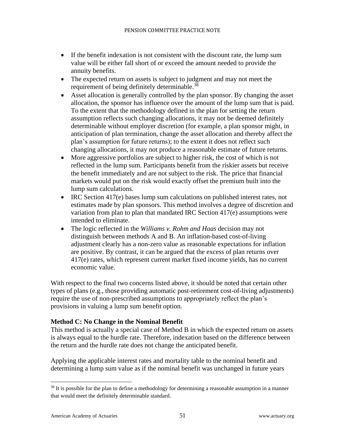- If the benefit indexation is not consistent with the discount rate, the lump sum value will be either fall short of or exceed the amount needed to provide the annuity benefits.
- The expected return on assets is subject to judgment and may not meet the requirement of being definitely determinable.<sup>38</sup>
- Asset allocation is generally controlled by the plan sponsor. By changing the asset allocation, the sponsor has influence over the amount of the lump sum that is paid. To the extent that the methodology defined in the plan for setting the return assumption reflects such changing allocations, it may not be deemed definitely determinable without employer discretion (for example, a plan sponsor might, in anticipation of plan termination, change the asset allocation and thereby affect the plan's assumption for future returns); to the extent it does not reflect such changing allocations, it may not produce a reasonable estimate of future returns.
- More aggressive portfolios are subject to higher risk, the cost of which is not reflected in the lump sum. Participants benefit from the riskier assets but receive the benefit immediately and are not subject to the risk. The price that financial markets would put on the risk would exactly offset the premium built into the lump sum calculations.
- IRC Section 417(e) bases lump sum calculations on published interest rates, not estimates made by plan sponsors. This method involves a degree of discretion and variation from plan to plan that mandated IRC Section 417(e) assumptions were intended to eliminate.
- The logic reflected in the *Williams v. Rohm and Haas* decision may not distinguish between methods A and B. An inflation-based cost-of-living adjustment clearly has a non-zero value as reasonable expectations for inflation are positive. By contrast, it can be argued that the excess of plan returns over 417(e) rates, which represent current market fixed income yields, has no current economic value.

With respect to the final two concerns listed above, it should be noted that certain other types of plans (e.g., those providing automatic post-retirement cost-of-living adjustments) require the use of non-prescribed assumptions to appropriately reflect the plan's provisions in valuing a lump sum benefit option.

#### **Method C: No Change in the Nominal Benefit**

This method is actually a special case of Method B in which the expected return on assets is always equal to the hurdle rate. Therefore, indexation based on the difference between the return and the hurdle rate does not change the anticipated benefit.

Applying the applicable interest rates and mortality table to the nominal benefit and determining a lump sum value as if the nominal benefit was unchanged in future years

 $38$  It is possible for the plan to define a methodology for determining a reasonable assumption in a manner that would meet the definitely determinable standard.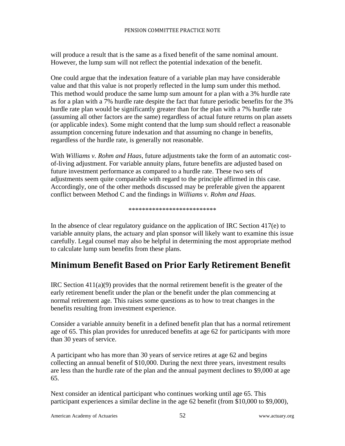will produce a result that is the same as a fixed benefit of the same nominal amount. However, the lump sum will not reflect the potential indexation of the benefit.

One could argue that the indexation feature of a variable plan may have considerable value and that this value is not properly reflected in the lump sum under this method. This method would produce the same lump sum amount for a plan with a 3% hurdle rate as for a plan with a 7% hurdle rate despite the fact that future periodic benefits for the 3% hurdle rate plan would be significantly greater than for the plan with a 7% hurdle rate (assuming all other factors are the same) regardless of actual future returns on plan assets (or applicable index). Some might contend that the lump sum should reflect a reasonable assumption concerning future indexation and that assuming no change in benefits, regardless of the hurdle rate, is generally not reasonable.

With *Williams v. Rohm and Haas*, future adjustments take the form of an automatic costof-living adjustment. For variable annuity plans, future benefits are adjusted based on future investment performance as compared to a hurdle rate. These two sets of adjustments seem quite comparable with regard to the principle affirmed in this case. Accordingly, one of the other methods discussed may be preferable given the apparent conflict between Method C and the findings in *Williams v. Rohm and Haas*.

#### \*\*\*\*\*\*\*\*\*\*\*\*\*\*\*\*\*\*\*\*\*\*\*\*\*\*

In the absence of clear regulatory guidance on the application of IRC Section 417(e) to variable annuity plans, the actuary and plan sponsor will likely want to examine this issue carefully. Legal counsel may also be helpful in determining the most appropriate method to calculate lump sum benefits from these plans.

# <span id="page-52-0"></span>**Minimum Benefit Based on Prior Early Retirement Benefit**

IRC Section  $411(a)(9)$  provides that the normal retirement benefit is the greater of the early retirement benefit under the plan or the benefit under the plan commencing at normal retirement age. This raises some questions as to how to treat changes in the benefits resulting from investment experience.

Consider a variable annuity benefit in a defined benefit plan that has a normal retirement age of 65. This plan provides for unreduced benefits at age 62 for participants with more than 30 years of service.

A participant who has more than 30 years of service retires at age 62 and begins collecting an annual benefit of \$10,000. During the next three years, investment results are less than the hurdle rate of the plan and the annual payment declines to \$9,000 at age 65.

Next consider an identical participant who continues working until age 65. This participant experiences a similar decline in the age 62 benefit (from \$10,000 to \$9,000),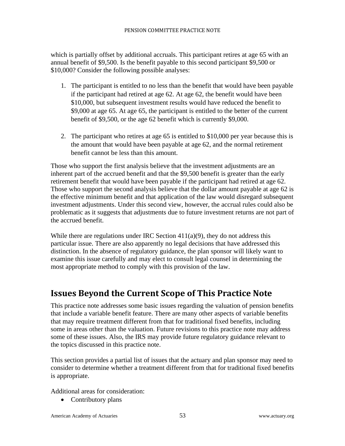which is partially offset by additional accruals. This participant retires at age 65 with an annual benefit of \$9,500. Is the benefit payable to this second participant \$9,500 or \$10,000? Consider the following possible analyses:

- 1. The participant is entitled to no less than the benefit that would have been payable if the participant had retired at age 62. At age 62, the benefit would have been \$10,000, but subsequent investment results would have reduced the benefit to \$9,000 at age 65. At age 65, the participant is entitled to the better of the current benefit of \$9,500, or the age 62 benefit which is currently \$9,000.
- 2. The participant who retires at age 65 is entitled to \$10,000 per year because this is the amount that would have been payable at age 62, and the normal retirement benefit cannot be less than this amount.

Those who support the first analysis believe that the investment adjustments are an inherent part of the accrued benefit and that the \$9,500 benefit is greater than the early retirement benefit that would have been payable if the participant had retired at age 62. Those who support the second analysis believe that the dollar amount payable at age 62 is the effective minimum benefit and that application of the law would disregard subsequent investment adjustments. Under this second view, however, the accrual rules could also be problematic as it suggests that adjustments due to future investment returns are not part of the accrued benefit.

While there are regulations under IRC Section  $411(a)(9)$ , they do not address this particular issue. There are also apparently no legal decisions that have addressed this distinction. In the absence of regulatory guidance, the plan sponsor will likely want to examine this issue carefully and may elect to consult legal counsel in determining the most appropriate method to comply with this provision of the law.

# <span id="page-53-0"></span>**Issues Beyond the Current Scope of This Practice Note**

This practice note addresses some basic issues regarding the valuation of pension benefits that include a variable benefit feature. There are many other aspects of variable benefits that may require treatment different from that for traditional fixed benefits, including some in areas other than the valuation. Future revisions to this practice note may address some of these issues. Also, the IRS may provide future regulatory guidance relevant to the topics discussed in this practice note.

This section provides a partial list of issues that the actuary and plan sponsor may need to consider to determine whether a treatment different from that for traditional fixed benefits is appropriate.

Additional areas for consideration:

• Contributory plans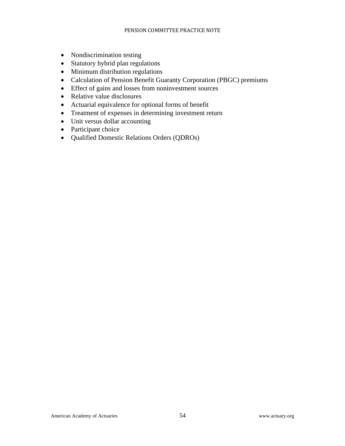- Nondiscrimination testing
- Statutory hybrid plan regulations
- Minimum distribution regulations
- Calculation of Pension Benefit Guaranty Corporation (PBGC) premiums
- Effect of gains and losses from noninvestment sources
- Relative value disclosures
- Actuarial equivalence for optional forms of benefit
- Treatment of expenses in determining investment return
- Unit versus dollar accounting
- Participant choice
- Qualified Domestic Relations Orders (QDROs)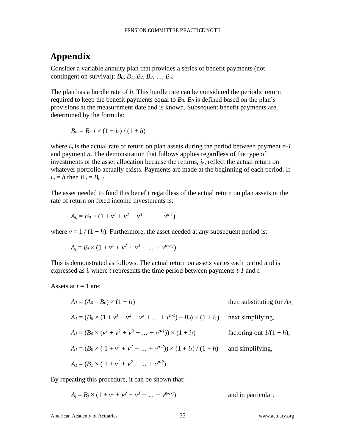## <span id="page-55-0"></span>**Appendix**

Consider a variable annuity plan that provides a series of benefit payments (not contingent on survival): *B0, B1, B2, B3, …, Bn*.

The plan has a hurdle rate of *h*. This hurdle rate can be considered the periodic return required to keep the benefit payments equal to  $B_0$ .  $B_0$  is defined based on the plan's provisions at the measurement date and is known. Subsequent benefit payments are determined by the formula:

$$
B_n=B_{n-1}\times(1+i_n)\mathbin{/}(1+h)
$$

where  $i_n$  is the actual rate of return on plan assets during the period between payment  $n-1$ and payment *n*. The demonstration that follows applies regardless of the type of investments or the asset allocation because the returns, *in*, reflect the actual return on whatever portfolio actually exists. Payments are made at the beginning of each period. If  $i_n = h$  then  $B_n = B_{n-1}$ .

The asset needed to fund this benefit regardless of the actual return on plan assets or the rate of return on fixed income investments is:

$$
A_0 = B_0 \times (1 + v^1 + v^2 + v^3 + \dots + v^{n-1})
$$

where  $v = 1/(1 + h)$ . Furthermore, the asset needed at any subsequent period is:

$$
A_j = B_j \times (1 + v^1 + v^2 + v^3 + \dots + v^{n-1-j})
$$

This is demonstrated as follows. The actual return on assets varies each period and is expressed as *i<sup>t</sup>* where *t* represents the time period between payments *t-1* and *t*.

Assets at  $t = 1$  are:

$$
A_1 = (A_0 - B_0) \times (1 + i_1)
$$
 then substituting for  $A_0$ ,  
\n
$$
A_1 = (B_0 \times (1 + v^1 + v^2 + v^3 + ... + v^{n-1}) - B_0) \times (1 + i_1)
$$
 next simplifying,  
\n
$$
A_1 = (B_0 \times (v^1 + v^2 + v^3 + ... + v^{n-1})) \times (1 + i_1)
$$
 factoring out  $1/(1 + h)$ ,  
\n
$$
A_1 = (B_0 \times (1 + v^1 + v^2 + ... + v^{n-2})) \times (1 + i_1) / (1 + h)
$$
 and simplifying,  
\n
$$
A_1 = (B_1 \times (1 + v^1 + v^2 + ... + v^{n-2}))
$$

By repeating this procedure, it can be shown that:

 $A_j = B_j \times (1 + v^1 + v^2 + v^3 + \dots + v^{n-1-j})$ ) and in particular,

American Academy of Actuaries 55 www.actuary.org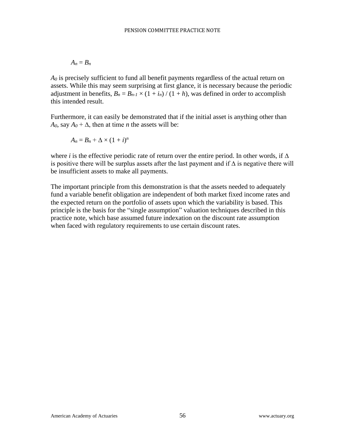$$
A_n=B_n
$$

 $A_0$  is precisely sufficient to fund all benefit payments regardless of the actual return on assets. While this may seem surprising at first glance, it is necessary because the periodic adjustment in benefits,  $B_n = B_{n-1} \times (1 + i_n) / (1 + h)$ , was defined in order to accomplish this intended result.

Furthermore, it can easily be demonstrated that if the initial asset is anything other than  $A_0$ , say  $A_0 + \Delta$ , then at time *n* the assets will be:

$$
A_n=B_n+\Delta\times(1+i)^n
$$

where *i* is the effective periodic rate of return over the entire period. In other words, if  $\Delta$ is positive there will be surplus assets after the last payment and if  $\Delta$  is negative there will be insufficient assets to make all payments.

The important principle from this demonstration is that the assets needed to adequately fund a variable benefit obligation are independent of both market fixed income rates and the expected return on the portfolio of assets upon which the variability is based. This principle is the basis for the "single assumption" valuation techniques described in this practice note, which base assumed future indexation on the discount rate assumption when faced with regulatory requirements to use certain discount rates.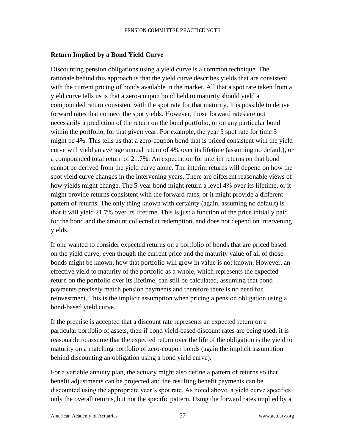#### **Return Implied by a Bond Yield Curve**

Discounting pension obligations using a yield curve is a common technique. The rationale behind this approach is that the yield curve describes yields that are consistent with the current pricing of bonds available in the market. All that a spot rate taken from a yield curve tells us is that a zero-coupon bond held to maturity should yield a compounded return consistent with the spot rate for that maturity. It is possible to derive forward rates that connect the spot yields. However, those forward rates are not necessarily a prediction of the return on the bond portfolio, or on any particular bond within the portfolio, for that given year. For example, the year 5 spot rate for time 5 might be 4%. This tells us that a zero-coupon bond that is priced consistent with the yield curve will yield an average annual return of 4% over its lifetime (assuming no default), or a compounded total return of 21.7%. An expectation for interim returns on that bond cannot be derived from the yield curve alone. The interim returns will depend on how the spot yield curve changes in the intervening years. There are different reasonable views of how yields might change. The 5-year bond might return a level 4% over its lifetime, or it might provide returns consistent with the forward rates, or it might provide a different pattern of returns. The only thing known with certainty (again, assuming no default) is that it will yield 21.7% over its lifetime. This is just a function of the price initially paid for the bond and the amount collected at redemption, and does not depend on intervening yields.

If one wanted to consider expected returns on a portfolio of bonds that are priced based on the yield curve, even though the current price and the maturity value of all of those bonds might be known, how that portfolio will grow in value is not known. However, an effective yield to maturity of the portfolio as a whole, which represents the expected return on the portfolio over its lifetime, can still be calculated, assuming that bond payments precisely match pension payments and therefore there is no need for reinvestment. This is the implicit assumption when pricing a pension obligation using a bond-based yield curve.

If the premise is accepted that a discount rate represents an expected return on a particular portfolio of assets, then if bond yield-based discount rates are being used, it is reasonable to assume that the expected return over the life of the obligation is the yield to maturity on a matching portfolio of zero-coupon bonds (again the implicit assumption behind discounting an obligation using a bond yield curve).

For a variable annuity plan, the actuary might also define a pattern of returns so that benefit adjustments can be projected and the resulting benefit payments can be discounted using the appropriate year's spot rate. As noted above, a yield curve specifies only the overall returns, but not the specific pattern. Using the forward rates implied by a